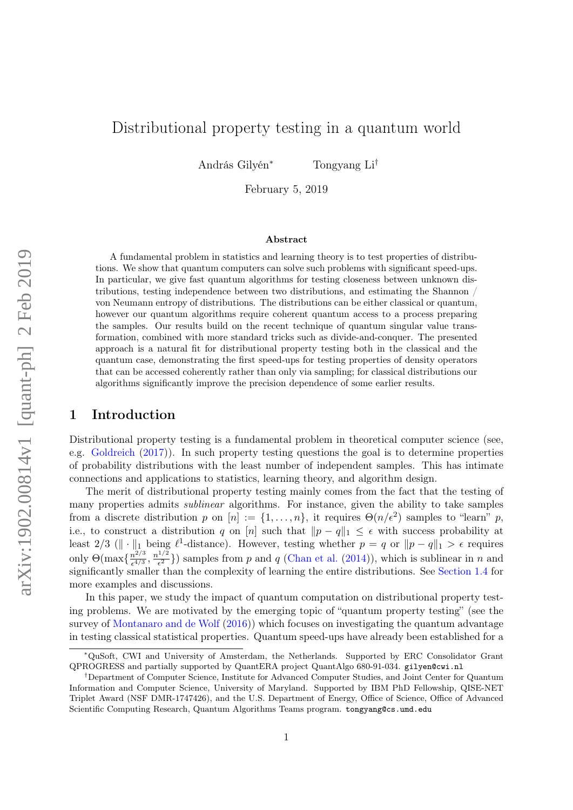# Distributional property testing in a quantum world

András Gilyén<sup>∗</sup> Tongyang Li†

February 5, 2019

#### Abstract

A fundamental problem in statistics and learning theory is to test properties of distributions. We show that quantum computers can solve such problems with significant speed-ups. In particular, we give fast quantum algorithms for testing closeness between unknown distributions, testing independence between two distributions, and estimating the Shannon / von Neumann entropy of distributions. The distributions can be either classical or quantum, however our quantum algorithms require coherent quantum access to a process preparing the samples. Our results build on the recent technique of quantum singular value transformation, combined with more standard tricks such as divide-and-conquer. The presented approach is a natural fit for distributional property testing both in the classical and the quantum case, demonstrating the first speed-ups for testing properties of density operators that can be accessed coherently rather than only via sampling; for classical distributions our algorithms significantly improve the precision dependence of some earlier results.

### 1 Introduction

Distributional property testing is a fundamental problem in theoretical computer science (see, e.g. [Goldreich](#page-13-0) [\(2017\)](#page-13-0)). In such property testing questions the goal is to determine properties of probability distributions with the least number of independent samples. This has intimate connections and applications to statistics, learning theory, and algorithm design.

The merit of distributional property testing mainly comes from the fact that the testing of many properties admits sublinear algorithms. For instance, given the ability to take samples from a discrete distribution p on  $[n] := \{1, \ldots, n\}$ , it requires  $\Theta(n/\epsilon^2)$  samples to "learn" p, i.e., to construct a distribution q on [n] such that  $||p - q||_1 \leq \epsilon$  with success probability at least 2/3 ( $\|\cdot\|_1$  being  $\ell^1$ -distance). However, testing whether  $p = q$  or  $\|p - q\|_1 > \epsilon$  requires only  $\Theta(\max\{\frac{n^{2/3}}{24/3}\})$  $\frac{n^{2/3}}{\epsilon^{4/3}}, \frac{n^{1/2}}{\epsilon^2}$  $\frac{1}{e^2}$ ) samples from p and q [\(Chan et al.](#page-13-1) [\(2014\)](#page-13-1)), which is sublinear in n and significantly smaller than the complexity of learning the entire distributions. See [Section 1.4](#page-5-0) for more examples and discussions.

In this paper, we study the impact of quantum computation on distributional property testing problems. We are motivated by the emerging topic of "quantum property testing" (see the survey of [Montanaro and de Wolf](#page-14-0) [\(2016\)](#page-14-0)) which focuses on investigating the quantum advantage in testing classical statistical properties. Quantum speed-ups have already been established for a

<sup>∗</sup>QuSoft, CWI and University of Amsterdam, the Netherlands. Supported by ERC Consolidator Grant QPROGRESS and partially supported by QuantERA project QuantAlgo 680-91-034. gilyen@cwi.nl

<sup>†</sup>Department of Computer Science, Institute for Advanced Computer Studies, and Joint Center for Quantum Information and Computer Science, University of Maryland. Supported by IBM PhD Fellowship, QISE-NET Triplet Award (NSF DMR-1747426), and the U.S. Department of Energy, Office of Science, Office of Advanced Scientific Computing Research, Quantum Algorithms Teams program. tongyang@cs.umd.edu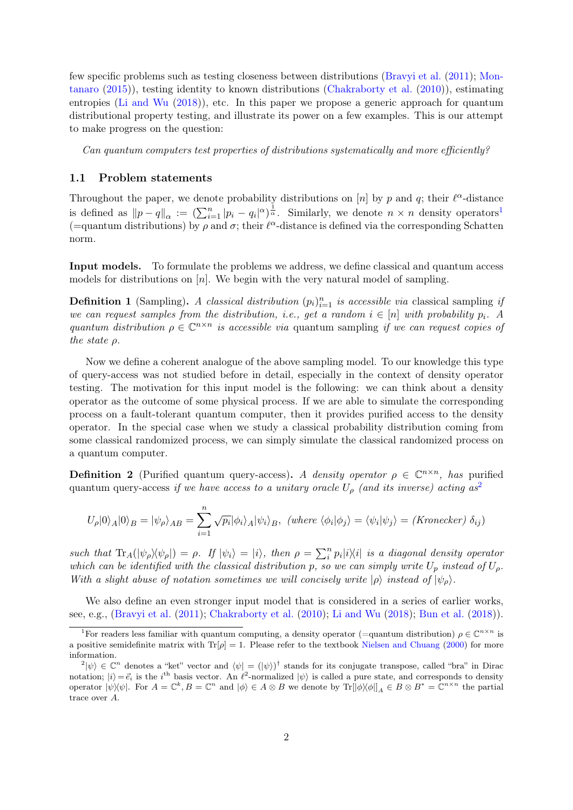few specific problems such as testing closeness between distributions [\(Bravyi et al.](#page-13-2) [\(2011\)](#page-13-2); [Mon](#page-13-3)[tanaro](#page-13-3) [\(2015\)](#page-13-3)), testing identity to known distributions [\(Chakraborty et al.](#page-13-4) [\(2010\)](#page-13-4)), estimating entropies [\(Li and Wu](#page-13-5) [\(2018\)](#page-13-5)), etc. In this paper we propose a generic approach for quantum distributional property testing, and illustrate its power on a few examples. This is our attempt to make progress on the question:

Can quantum computers test properties of distributions systematically and more efficiently?

#### 1.1 Problem statements

Throughout the paper, we denote probability distributions on [n] by p and q; their  $\ell^{\alpha}$ -distance is defined as  $||p - q||_{\alpha} := (\sum_{i=1}^{n} |p_i - q_i|^{\alpha})^{\frac{1}{\alpha}}$  $||p - q||_{\alpha} := (\sum_{i=1}^{n} |p_i - q_i|^{\alpha})^{\frac{1}{\alpha}}$  $||p - q||_{\alpha} := (\sum_{i=1}^{n} |p_i - q_i|^{\alpha})^{\frac{1}{\alpha}}$ . Similarly, we denote  $n \times n$  density operators<sup>1</sup> (=quantum distributions) by  $\rho$  and  $\sigma$ ; their  $\ell^{\alpha}$ -distance is defined via the corresponding Schatten norm.

Input models. To formulate the problems we address, we define classical and quantum access models for distributions on [n]. We begin with the very natural model of sampling.

**Definition 1** (Sampling). A classical distribution  $(p_i)_{i=1}^n$  is accessible via classical sampling if we can request samples from the distribution, i.e., get a random  $i \in [n]$  with probability  $p_i$ . A quantum distribution  $\rho \in \mathbb{C}^{n \times n}$  is accessible via quantum sampling if we can request copies of the state ρ.

Now we define a coherent analogue of the above sampling model. To our knowledge this type of query-access was not studied before in detail, especially in the context of density operator testing. The motivation for this input model is the following: we can think about a density operator as the outcome of some physical process. If we are able to simulate the corresponding process on a fault-tolerant quantum computer, then it provides purified access to the density operator. In the special case when we study a classical probability distribution coming from some classical randomized process, we can simply simulate the classical randomized process on a quantum computer.

<span id="page-1-2"></span>**Definition 2** (Purified quantum query-access). A density operator  $\rho \in \mathbb{C}^{n \times n}$ , has purified quantum query-access if we have access to a unitary oracle  $U_{\rho}$  (and its inverse) acting as<sup>[2](#page-1-1)</sup>

$$
U_{\rho}|0\rangle_{A}|0\rangle_{B} = |\psi_{\rho}\rangle_{AB} = \sum_{i=1}^{n} \sqrt{p_{i}} |\phi_{i}\rangle_{A} |\psi_{i}\rangle_{B}, \text{ (where } \langle \phi_{i}|\phi_{j}\rangle = \langle \psi_{i}|\psi_{j}\rangle = \text{ (Kronecker) } \delta_{ij}\text{)}
$$

such that  $\text{Tr}_A(|\psi_\rho\rangle\langle\psi_\rho|) = \rho$ . If  $|\psi_i\rangle = |i\rangle$ , then  $\rho = \sum_i^n p_i |i\rangle\langle i|$  is a diagonal density operator which can be identified with the classical distribution p, so we can simply write  $U_p$  instead of  $U_p$ . With a slight abuse of notation sometimes we will concisely write  $|\rho\rangle$  instead of  $|\psi_{\rho}\rangle$ .

We also define an even stronger input model that is considered in a series of earlier works, see, e.g., [\(Bravyi et al.](#page-13-2) [\(2011\)](#page-13-2); [Chakraborty et al.](#page-13-4) [\(2010\)](#page-13-4); [Li and Wu](#page-13-5) [\(2018\)](#page-13-5); [Bun et al.](#page-13-6) [\(2018\)](#page-13-6)).

<span id="page-1-0"></span><sup>&</sup>lt;sup>1</sup>For readers less familiar with quantum computing, a density operator (=quantum distribution)  $\rho \in \mathbb{C}^{n \times n}$  is a positive semidefinite matrix with  $Tr[\rho] = 1$ . Please refer to the textbook [Nielsen and Chuang](#page-14-1) [\(2000\)](#page-14-1) for more information.

<span id="page-1-1"></span> $\langle \psi | \psi \rangle \in \mathbb{C}^n$  denotes a "ket" vector and  $\langle \psi | = (|\psi \rangle)^{\dagger}$  stands for its conjugate transpose, called "bra" in Dirac notation;  $|i\rangle = \vec{e_i}$  is the i<sup>th</sup> basis vector. An  $\ell^2$ -normalized  $|\psi\rangle$  is called a pure state, and corresponds to density operator  $|\psi\rangle\langle\psi|$ . For  $A = \mathbb{C}^k$ ,  $B = \mathbb{C}^n$  and  $|\phi\rangle \in A \otimes B$  we denote by  $\text{Tr}[\ket{\phi}\bra{\phi}]_A \in B \otimes B^* = \mathbb{C}^{n \times n}$  the partial trace over A.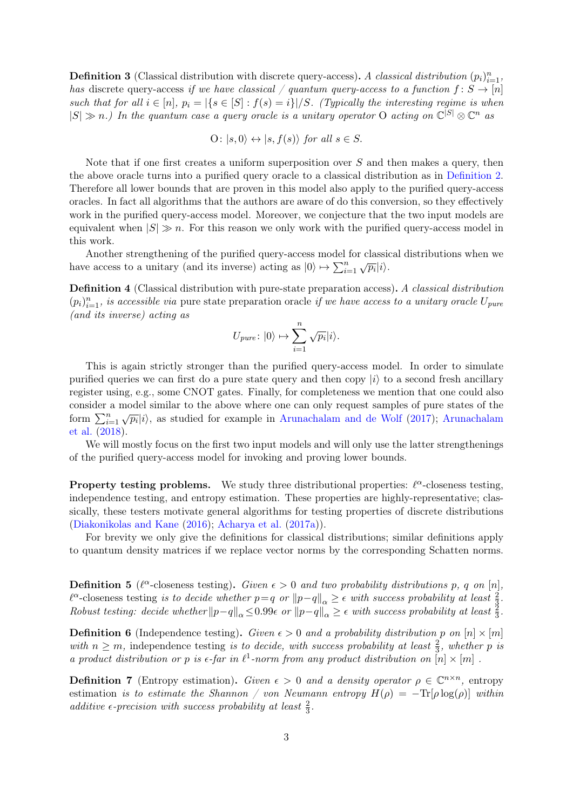<span id="page-2-0"></span>**Definition 3** (Classical distribution with discrete query-access). A classical distribution  $(p_i)_{i=1}^n$ , has discrete query-access if we have classical / quantum query-access to a function  $f: S \to [n]$ such that for all  $i \in [n]$ ,  $p_i = |\{s \in [S] : f(s) = i\}|/S$ . (Typically the interesting regime is when  $|S| \gg n$ .) In the quantum case a query oracle is a unitary operator O acting on  $\mathbb{C}^{|S|} \otimes \mathbb{C}^n$  as

$$
O: |s, 0\rangle \leftrightarrow |s, f(s)\rangle \text{ for all } s \in S.
$$

Note that if one first creates a uniform superposition over  $S$  and then makes a query, then the above oracle turns into a purified query oracle to a classical distribution as in [Definition 2.](#page-1-2) Therefore all lower bounds that are proven in this model also apply to the purified query-access oracles. In fact all algorithms that the authors are aware of do this conversion, so they effectively work in the purified query-access model. Moreover, we conjecture that the two input models are equivalent when  $|S| \gg n$ . For this reason we only work with the purified query-access model in this work.

Another strengthening of the purified query-access model for classical distributions when we have access to a unitary (and its inverse) acting as  $|0\rangle \mapsto \sum_{i=1}^{n} \sqrt{p_i} |i\rangle$ .

<span id="page-2-1"></span>Definition 4 (Classical distribution with pure-state preparation access). A classical distribution  $(p_i)_{i=1}^n$ , is accessible via pure state preparation oracle if we have access to a unitary oracle  $U_{pure}$ (and its inverse) acting as

$$
U_{pure}\colon |0\rangle \mapsto \sum_{i=1}^n \sqrt{p_i} |i\rangle.
$$

This is again strictly stronger than the purified query-access model. In order to simulate purified queries we can first do a pure state query and then copy  $|i\rangle$  to a second fresh ancillary register using, e.g., some CNOT gates. Finally, for completeness we mention that one could also consider a model similar to the above where one can only request samples of pure states of the form  $\sum_{i=1}^{n} \sqrt{p_i} |i\rangle$ , as studied for example in [Arunachalam and de Wolf](#page-12-0) [\(2017\)](#page-12-0); [Arunachalam](#page-12-1) [et al.](#page-12-1) [\(2018\)](#page-12-1).

We will mostly focus on the first two input models and will only use the latter strengthenings of the purified query-access model for invoking and proving lower bounds.

**Property testing problems.** We study three distributional properties:  $\ell^{\alpha}$ -closeness testing, independence testing, and entropy estimation. These properties are highly-representative; classically, these testers motivate general algorithms for testing properties of discrete distributions [\(Diakonikolas and Kane](#page-13-7) [\(2016\)](#page-13-7); [Acharya et al.](#page-12-2) [\(2017a\)](#page-12-2)).

For brevity we only give the definitions for classical distributions; similar definitions apply to quantum density matrices if we replace vector norms by the corresponding Schatten norms.

**Definition 5** ( $\ell^{\alpha}$ -closeness testing). Given  $\epsilon > 0$  and two probability distributions p, q on [n],  $\ell^{\alpha}$ -closeness testing is to decide whether  $p=q$  or  $||p-q||_{\alpha}\geq \epsilon$  with success probability at least  $\frac{2}{3}$ . Robust testing: decide whether  $||p-q||_{\alpha} \leq 0.99\epsilon$  or  $||p-q||_{\alpha} \geq \epsilon$  with success probability at least  $\frac{3}{3}$ .

**Definition 6** (Independence testing). Given  $\epsilon > 0$  and a probability distribution p on  $[n] \times [m]$ with  $n \geq m$ , independence testing is to decide, with success probability at least  $\frac{2}{3}$ , whether p is a product distribution or p is  $\epsilon$ -far in  $\ell^1$ -norm from any product distribution on  $[n] \times [m]$ .

**Definition 7** (Entropy estimation). Given  $\epsilon > 0$  and a density operator  $\rho \in \mathbb{C}^{n \times n}$ , entropy estimation is to estimate the Shannon / von Neumann entropy  $H(\rho) = -\text{Tr}[\rho \log(\rho)]$  within additive  $\epsilon$ -precision with success probability at least  $\frac{2}{3}$ .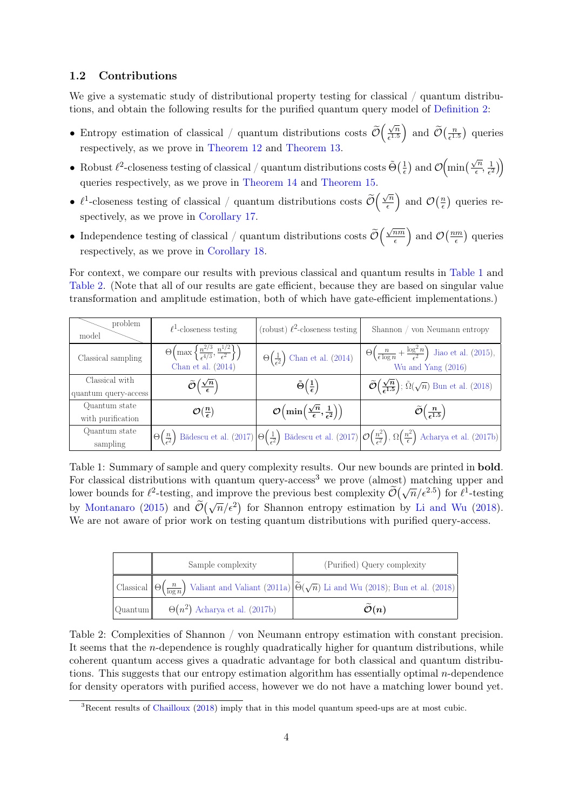### 1.2 Contributions

We give a systematic study of distributional property testing for classical / quantum distributions, and obtain the following results for the purified quantum query model of [Definition 2:](#page-1-2)

- Entropy estimation of classical / quantum distributions costs  $\mathcal O$  $\sqrt{n}$  $\left(\frac{\sqrt{n}}{\epsilon^{1.5}}\right)$  and  $\widetilde{\mathcal{O}}\left(\frac{n}{\epsilon^{1.5}}\right)$  $\frac{n}{e^{1.5}}$  queries respectively, as we prove in [Theorem 12](#page-8-0) and [Theorem 13.](#page-9-0)
- Robust  $\ell^2$ -closeness testing of classical / quantum distributions costs  $\tilde{\Theta}(\frac{1}{\epsilon})$  $\frac{1}{\epsilon}$  and  $\mathcal{O}\left(\min\left(\frac{\sqrt{n}}{\epsilon}\right)\right)$  $\frac{n}{\epsilon}, \frac{1}{\epsilon^2}$  $\frac{1}{\epsilon^2}\Big)\Bigg)$ queries respectively, as we prove in [Theorem 14](#page-9-1) and [Theorem 15.](#page-11-0)
- $\ell^1$ -closeness testing of classical / quantum distributions costs  $\widetilde{\mathcal{O}}$  $\sqrt{n}$  $\left(\frac{\sqrt{n}}{\epsilon}\right)$  and  $\mathcal{O}\left(\frac{n}{\epsilon}\right)$  $\frac{n}{\epsilon}$ ) queries respectively, as we prove in [Corollary 17.](#page-16-0)
- Independence testing of classical / quantum distributions costs  $\mathcal O$  $\sqrt{nm}$  $\overline{\frac{nm}{\epsilon}}$  and  $\mathcal{O}\left(\frac{nm}{\epsilon}\right)$  $\frac{qm}{\epsilon}$ ) queries respectively, as we prove in [Corollary 18.](#page-17-0)

For context, we compare our results with previous classical and quantum results in [Table 1](#page-3-0) and [Table 2.](#page-3-1) (Note that all of our results are gate efficient, because they are based on singular value transformation and amplitude estimation, both of which have gate-efficient implementations.)

<span id="page-3-0"></span>

| problem<br>model                       | $\ell^1$ -closeness testing                                                                                               | (robust) $\ell^2$ -closeness testing                                                      | Shannon / von Neumann entropy                                                                                                                                                                                                    |
|----------------------------------------|---------------------------------------------------------------------------------------------------------------------------|-------------------------------------------------------------------------------------------|----------------------------------------------------------------------------------------------------------------------------------------------------------------------------------------------------------------------------------|
| Classical sampling                     | $\Theta\left(\max\left\{\frac{n^{2/3}}{\epsilon^{4/3}},\frac{n^{1/2}}{\epsilon^2}\right\}\right)$<br>Chan et al. $(2014)$ | $\Theta\left(\frac{1}{\epsilon^2}\right)$ Chan et al. (2014)                              | $\Theta\left(\frac{n}{\epsilon \log n} + \frac{\log^2 n}{\epsilon^2}\right)$ Jiao et al. (2015),<br>Wu and Yang (2016)                                                                                                           |
| Classical with<br>quantum query-access | $\widetilde{\mathcal{O}}\left(\frac{\sqrt{n}}{\epsilon}\right)$                                                           | $\tilde{\Theta}\left(\frac{1}{\epsilon}\right)$                                           | $\widetilde{\mathcal{O}}\left(\frac{\sqrt{n}}{\epsilon^{1.5}}\right)$ ; $\widetilde{\Omega}(\sqrt{n})$ Bun et al. (2018)                                                                                                         |
| Quantum state<br>with purification     | $\mathcal{O}\left(\frac{n}{\epsilon}\right)$                                                                              | $\mathcal{O}\left(\min\left(\frac{\sqrt{n}}{\epsilon},\frac{1}{\epsilon^2}\right)\right)$ | $\widetilde{\mathcal{O}}\left(\frac{n}{\epsilon^{1.5}}\right)$                                                                                                                                                                   |
| Quantum state<br>sampling              | $\Theta(\frac{n}{c^2})$                                                                                                   |                                                                                           | Bădescu et al. (2017) $\left \Theta\left(\frac{1}{\epsilon^2}\right)\right $ Bădescu et al. (2017) $\left \mathcal{O}\left(\frac{n^2}{\epsilon^2}\right), \Omega\left(\frac{n^2}{\epsilon}\right)\right $ Acharya et al. (2017b) |

Table 1: Summary of sample and query complexity results. Our new bounds are printed in **bold**. For classical distributions with quantum query-access<sup>3</sup> we prove (almost) matching upper and For classical distributions with quantum query-access we prove (annost) matching upper and<br>lower bounds for  $\ell^2$ -testing, and improve the previous best complexity  $\widetilde{\mathcal{O}}(\sqrt{n}/\epsilon^{2.5})$  for  $\ell^1$ -testing by [Montanaro](#page-13-3) [\(2015\)](#page-13-3) and  $\widetilde{\mathcal{O}}(\sqrt{n}/\epsilon^2)$  for Shannon entropy estimation by [Li and Wu](#page-13-5) [\(2018\)](#page-13-5). We are not aware of prior work on testing quantum distributions with purified query-access.

<span id="page-3-1"></span>

| Sample complexity                            | (Purified) Query complexity                                                                                                                                       |
|----------------------------------------------|-------------------------------------------------------------------------------------------------------------------------------------------------------------------|
|                                              | Classical $\left \Theta\left(\frac{n}{\log n}\right)$ Valiant and Valiant (2011a) $\left \widetilde{\Theta}(\sqrt{n})\right $ Li and Wu (2018); Bun et al. (2018) |
| Quantum $\theta(n^2)$ Acharya et al. (2017b) | $\mathcal{O}(n)$                                                                                                                                                  |

Table 2: Complexities of Shannon / von Neumann entropy estimation with constant precision. It seems that the *n*-dependence is roughly quadratically higher for quantum distributions, while coherent quantum access gives a quadratic advantage for both classical and quantum distributions. This suggests that our entropy estimation algorithm has essentially optimal n-dependence for density operators with purified access, however we do not have a matching lower bound yet.

<sup>&</sup>lt;sup>3</sup>Recent results of [Chailloux](#page-13-9) [\(2018\)](#page-13-9) imply that in this model quantum speed-ups are at most cubic.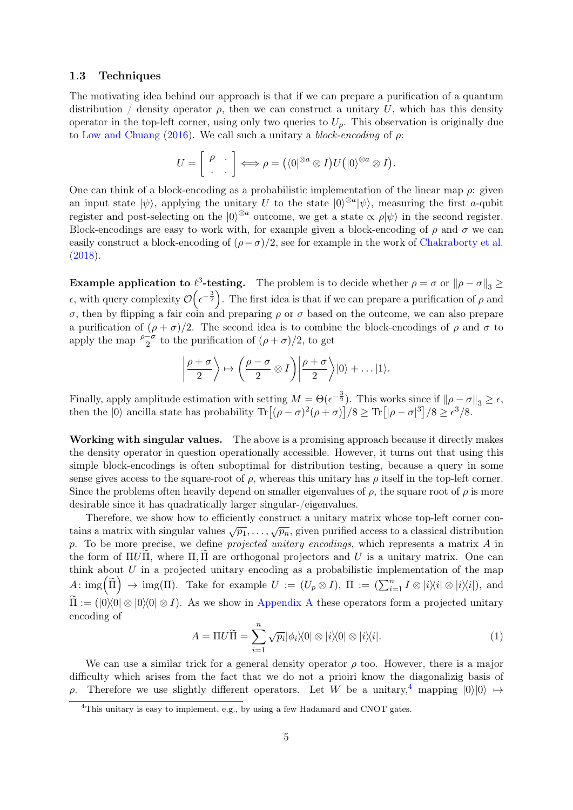#### 1.3 Techniques

The motivating idea behind our approach is that if we can prepare a purification of a quantum distribution / density operator  $\rho$ , then we can construct a unitary U, which has this density operator in the top-left corner, using only two queries to  $U<sub>o</sub>$ . This observation is originally due to [Low and Chuang](#page-13-10) [\(2016\)](#page-13-10). We call such a unitary a *block-encoding* of  $\rho$ :

$$
U=\left[\begin{array}{cc} \rho & \cdot \\ \cdot & \cdot \end{array}\right] \Longleftrightarrow \rho=\left(\langle 0|^{\otimes a}\otimes I\right)U\left(|0\rangle^{\otimes a}\otimes I\right).
$$

One can think of a block-encoding as a probabilistic implementation of the linear map  $\rho$ : given an input state  $|\psi\rangle$ , applying the unitary U to the state  $|0\rangle^{\otimes a}|\psi\rangle$ , measuring the first a-qubit register and post-selecting on the  $|0\rangle^{\otimes a}$  outcome, we get a state  $\propto \rho |\psi\rangle$  in the second register. Block-encodings are easy to work with, for example given a block-encoding of  $\rho$  and  $\sigma$  we can easily construct a block-encoding of  $(\rho - \sigma)/2$ , see for example in the work of [Chakraborty et al.](#page-13-11) [\(2018\)](#page-13-11).

**Example application to**  $\ell^3$ -testing. The problem is to decide whether  $\rho = \sigma$  or  $\|\rho - \sigma\|_3 \ge$  $\epsilon$ , with query complexity  $\mathcal{O}(\epsilon^{-\frac{3}{2}})$ . The first idea is that if we can prepare a purification of  $\rho$  and σ, then by flipping a fair coin and preparing ρ or σ based on the outcome, we can also prepare a purification of  $(\rho + \sigma)/2$ . The second idea is to combine the block-encodings of  $\rho$  and  $\sigma$  to apply the map  $\frac{\rho-\sigma}{2}$  to the purification of  $(\rho+\sigma)/2$ , to get

$$
\left|\frac{\rho+\sigma}{2}\right\rangle \mapsto \left(\frac{\rho-\sigma}{2}\otimes I\right)\left|\frac{\rho+\sigma}{2}\right\rangle |0\rangle + \dots |1\rangle.
$$

Finally, apply amplitude estimation with setting  $M = \Theta(\epsilon^{-\frac{3}{2}})$ . This works since if  $\|\rho - \sigma\|_3 \ge \epsilon$ , then the  $|0\rangle$  ancilla state has probability  $\text{Tr}\left[ (\rho - \sigma)^2(\rho + \sigma) \right] / 8 \ge \text{Tr}\left[ |\rho - \sigma|^3 \right] / 8 \ge \epsilon^3 / 8$ .

Working with singular values. The above is a promising approach because it directly makes the density operator in question operationally accessible. However, it turns out that using this simple block-encodings is often suboptimal for distribution testing, because a query in some sense gives access to the square-root of  $\rho$ , whereas this unitary has  $\rho$  itself in the top-left corner. Since the problems often heavily depend on smaller eigenvalues of  $\rho$ , the square root of  $\rho$  is more desirable since it has quadratically larger singular-/eigenvalues.

Therefore, we show how to efficiently construct a unitary matrix whose top-left corner contains a matrix with singular values  $\sqrt{p_1}, \ldots, \sqrt{p_n}$ , given purified access to a classical distribution p. To be more precise, we define *projected unitary encodings*, which represents a matrix  $\vec{A}$  in the form of ΠUΠ, where  $\Pi$ ,  $\Pi$  are orthogonal projectors and U is a unitary matrix. One can think about  $U$  in a projected unitary encoding as a probabilistic implementation of the map  $A: \text{img}\left(\widetilde{\Pi}\right) \to \text{img}(\Pi)$ . Take for example  $U := (U_p \otimes I)$ ,  $\Pi := (\sum_{i=1}^n I \otimes |i\rangle\langle i| \otimes |i\rangle\langle i|)$ , and  $\widetilde{\Pi} := (0)(0) \otimes 0 \otimes 0 \otimes I$ . As we show in [Appendix A](#page-15-0) these operators form a projected unitary encoding of

<span id="page-4-1"></span>
$$
A = \Pi U \widetilde{\Pi} = \sum_{i=1}^{n} \sqrt{p_i} |\phi_i\rangle\langle 0| \otimes |i\rangle\langle 0| \otimes |i\rangle\langle i|.
$$
 (1)

We can use a similar trick for a general density operator  $\rho$  too. However, there is a major difficulty which arises from the fact that we do not a prioiri know the diagonalizig basis of ρ. Therefore we use slightly different operators. Let W be a unitary,<sup>[4](#page-4-0)</sup> mapping  $|0\rangle|0\rangle \mapsto$ 

<span id="page-4-0"></span><sup>&</sup>lt;sup>4</sup>This unitary is easy to implement, e.g., by using a few Hadamard and CNOT gates.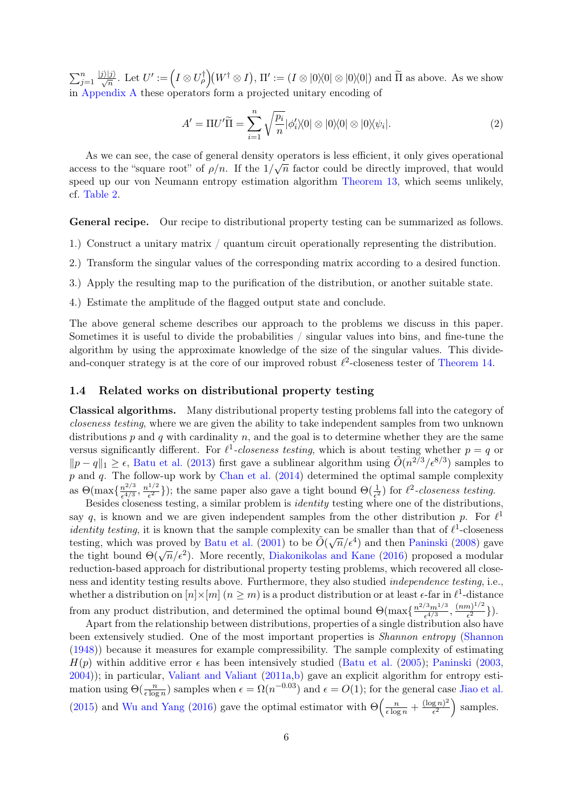$\sum_{j=1}^n$  $\frac{|j\rangle|j\rangle}{\sqrt{n}}$ . Let  $U':=\left(I\otimes U_\rho^\dagger\right)\!(W^\dagger\otimes I),\, \Pi':=(I\otimes |0\rangle\!\langle 0|\otimes |0\rangle\!\langle 0|)$  and  $\widetilde\Pi$  as above. As we show in [Appendix A](#page-15-0) these operators form a projected unitary encoding of

<span id="page-5-1"></span>
$$
A' = \Pi U' \widetilde{\Pi} = \sum_{i=1}^{n} \sqrt{\frac{p_i}{n}} |\phi_i' \rangle \langle 0| \otimes |0 \rangle \langle 0| \otimes |0 \rangle \langle \psi_i|.
$$
 (2)

As we can see, the case of general density operators is less efficient, it only gives operational As we can see, the case of general density operators is less entered, it omy gives operational access to the "square root" of  $\rho/n$ . If the  $1/\sqrt{n}$  factor could be directly improved, that would speed up our von Neumann entropy estimation algorithm [Theorem 13,](#page-9-0) which seems unlikely, cf. [Table 2.](#page-3-1)

General recipe. Our recipe to distributional property testing can be summarized as follows.

- 1.) Construct a unitary matrix / quantum circuit operationally representing the distribution.
- 2.) Transform the singular values of the corresponding matrix according to a desired function.
- 3.) Apply the resulting map to the purification of the distribution, or another suitable state.
- 4.) Estimate the amplitude of the flagged output state and conclude.

The above general scheme describes our approach to the problems we discuss in this paper. Sometimes it is useful to divide the probabilities / singular values into bins, and fine-tune the algorithm by using the approximate knowledge of the size of the singular values. This divideand-conquer strategy is at the core of our improved robust  $\ell^2$ -closeness tester of [Theorem 14.](#page-9-1)

#### <span id="page-5-0"></span>1.4 Related works on distributional property testing

Classical algorithms. Many distributional property testing problems fall into the category of closeness testing, where we are given the ability to take independent samples from two unknown distributions  $p$  and  $q$  with cardinality  $n$ , and the goal is to determine whether they are the same versus significantly different. For  $\ell^1$ -closeness testing, which is about testing whether  $p = q$  or  $||p - q||_1 \ge \epsilon$ , [Batu et al.](#page-12-5) [\(2013\)](#page-12-5) first gave a sublinear algorithm using  $\tilde{O}(n^{2/3}/\epsilon^{8/3})$  samples to p and q. The follow-up work by [Chan et al.](#page-13-1) [\(2014\)](#page-13-1) determined the optimal sample complexity as  $\Theta(\max\{\frac{n^{2/3}}{c^{4/3}}\})$  $\frac{n^{2/3}}{\epsilon^{4/3}}, \frac{n^{1/2}}{\epsilon^2}$  $\frac{1}{2}$ ); the same paper also gave a tight bound  $\Theta(\frac{1}{\epsilon^2})$  for  $\ell^2$ -closeness testing.

Besides closeness testing, a similar problem is *identity* testing where one of the distributions, say q, is known and we are given independent samples from the other distribution p. For  $\ell^1$ *identity testing*, it is known that the sample complexity can be smaller than that of  $\ell^1$ -closeness testing, which was proved by [Batu et al.](#page-12-6) [\(2001\)](#page-12-6) to be  $\tilde{O}(\sqrt{n}/\epsilon^4)$  and then [Paninski](#page-14-4) [\(2008\)](#page-14-4) gave testing, which was proved by Batu et al. (2001) to be  $O(\sqrt{n}/\epsilon^2)$  and then I annish (2006) gave<br>the tight bound  $\Theta(\sqrt{n}/\epsilon^2)$ . More recently, [Diakonikolas and Kane](#page-13-7) [\(2016\)](#page-13-7) proposed a modular reduction-based approach for distributional property testing problems, which recovered all closeness and identity testing results above. Furthermore, they also studied independence testing, i.e., whether a distribution on  $[n] \times [m]$   $(n \geq m)$  is a product distribution or at least  $\epsilon$ -far in  $\ell^1$ -distance from any product distribution, and determined the optimal bound  $\Theta(\max\{\frac{n^{2/3}m^{1/3}}{c^{4/3}}\})$  $\frac{(3m^{1/3}}{\epsilon^{4/3}}, \frac{(nm)^{1/2}}{\epsilon^2}$  $\frac{n)^{1/2}}{\epsilon^2}\}$ ).

Apart from the relationship between distributions, properties of a single distribution also have been extensively studied. One of the most important properties is Shannon entropy [\(Shannon](#page-14-5) [\(1948\)](#page-14-5)) because it measures for example compressibility. The sample complexity of estimating  $H(p)$  within additive error  $\epsilon$  has been intensively studied [\(Batu et al.](#page-12-7) [\(2005\)](#page-12-7); [Paninski](#page-14-6) [\(2003,](#page-14-6) [2004\)](#page-14-7)); in particular, [Valiant and Valiant](#page-14-3) [\(2011a,](#page-14-3)[b\)](#page-14-8) gave an explicit algorithm for entropy estimation using  $\Theta(\frac{n}{\epsilon \log n})$  samples when  $\epsilon = \Omega(n^{-0.03})$  and  $\epsilon = O(1)$ ; for the general case [Jiao et al.](#page-13-8) [\(2015\)](#page-13-8) and [Wu and Yang](#page-14-2) [\(2016\)](#page-14-2) gave the optimal estimator with  $\Theta\left(\frac{n}{\epsilon \log n} + \frac{(\log n)^2}{\epsilon^2}\right)$  $\frac{\left(\frac{g}{e^2}n\right)^2}{e^2}$  samples.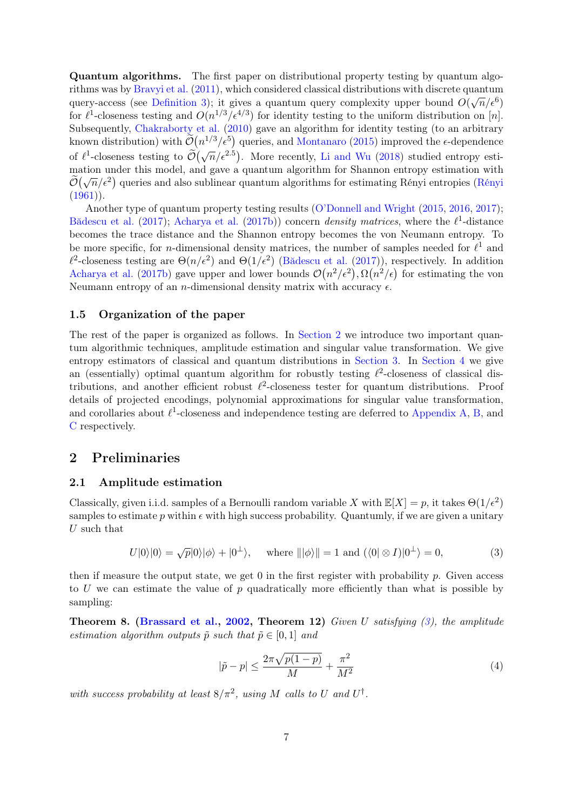Quantum algorithms. The first paper on distributional property testing by quantum algo-rithms was by [Bravyi et al.](#page-13-2) [\(2011\)](#page-13-2), which considered classical distributions with discrete quantum query-access (see [Definition 3\)](#page-2-0); it gives a quantum query complexity upper bound  $O(\sqrt{n}/\epsilon^6)$ for  $\ell^1$ -closeness testing and  $O(n^{1/3}/\epsilon^{4/3})$  for identity testing to the uniform distribution on [n]. Subsequently, [Chakraborty et al.](#page-13-4) [\(2010\)](#page-13-4) gave an algorithm for identity testing (to an arbitrary known distribution) with  $\tilde{\mathcal{O}}(n^{1/3}/\epsilon^5)$  queries, and [Montanaro](#page-13-3) [\(2015\)](#page-13-3) improved the  $\epsilon$ -dependence of  $\ell^1$ -closeness testing to  $\widetilde{\mathcal{O}}(\sqrt{n}/\epsilon^{2.5})$ . More recently, [Li and Wu](#page-13-5) [\(2018\)](#page-13-5) studied entropy estimation under this model, and gave a quantum algorithm for Shannon entropy estimation with mation under this model, and gave a quantum algorithm for shannon entropy estimation with<br> $\widetilde{O}(\sqrt{n}/\epsilon^2)$  queries and also sublinear quantum algorithms for estimating Rényi entropies [\(Rényi](#page-14-9)  $(1961)$ .

Another type of quantum property testing results [\(O'Donnell and Wright](#page-14-10) [\(2015,](#page-14-10) [2016,](#page-14-11) [2017\)](#page-14-12); [Bădescu et al.](#page-12-3) [\(2017\)](#page-12-3); [Acharya et al.](#page-12-4) [\(2017b\)](#page-12-4)) concern *density matrices*, where the  $\ell^1$ -distance becomes the trace distance and the Shannon entropy becomes the von Neumann entropy. To be more specific, for *n*-dimensional density matrices, the number of samples needed for  $\ell^1$  and  $\ell^2$ -closeness testing are  $\Theta(n/\epsilon^2)$  and  $\Theta(1/\epsilon^2)$  [\(Bădescu et al.](#page-12-3) [\(2017\)](#page-12-3)), respectively. In addition [Acharya et al.](#page-12-4) [\(2017b\)](#page-12-4) gave upper and lower bounds  $\mathcal{O}(n^2/\epsilon^2), \Omega(n^2/\epsilon)$  for estimating the von Neumann entropy of an *n*-dimensional density matrix with accuracy  $\epsilon$ .

#### 1.5 Organization of the paper

The rest of the paper is organized as follows. In [Section 2](#page-6-0) we introduce two important quantum algorithmic techniques, amplitude estimation and singular value transformation. We give entropy estimators of classical and quantum distributions in [Section 3.](#page-8-1) In [Section 4](#page-9-2) we give an (essentially) optimal quantum algorithm for robustly testing  $\ell^2$ -closeness of classical distributions, and another efficient robust  $\ell^2$ -closeness tester for quantum distributions. Proof details of projected encodings, polynomial approximations for singular value transformation, and corollaries about  $\ell^1$ -closeness and independence testing are deferred to [Appendix A,](#page-15-0) [B,](#page-15-1) and [C](#page-16-1) respectively.

# <span id="page-6-0"></span>2 Preliminaries

#### 2.1 Amplitude estimation

Classically, given i.i.d. samples of a Bernoulli random variable X with  $\mathbb{E}[X] = p$ , it takes  $\Theta(1/\epsilon^2)$ samples to estimate p within  $\epsilon$  with high success probability. Quantumly, if we are given a unitary U such that

$$
U|0\rangle|0\rangle = \sqrt{p}|0\rangle|\phi\rangle + |0^{\perp}\rangle, \quad \text{where } |||\phi\rangle|| = 1 \text{ and } (\langle 0| \otimes I)|0^{\perp}\rangle = 0,
$$
 (3)

then if measure the output state, we get  $0$  in the first register with probability  $p$ . Given access to U we can estimate the value of  $p$  quadratically more efficiently than what is possible by sampling:

<span id="page-6-3"></span>**Theorem 8.** [\(Brassard et al.,](#page-12-8) [2002,](#page-12-8) Theorem 12) Given U satisfying  $(3)$ , the amplitude estimation algorithm outputs  $\tilde{p}$  such that  $\tilde{p} \in [0, 1]$  and

<span id="page-6-2"></span><span id="page-6-1"></span>
$$
|\tilde{p} - p| \le \frac{2\pi\sqrt{p(1-p)}}{M} + \frac{\pi^2}{M^2}
$$
 (4)

with success probability at least  $8/\pi^2$ , using M calls to U and U<sup>†</sup>.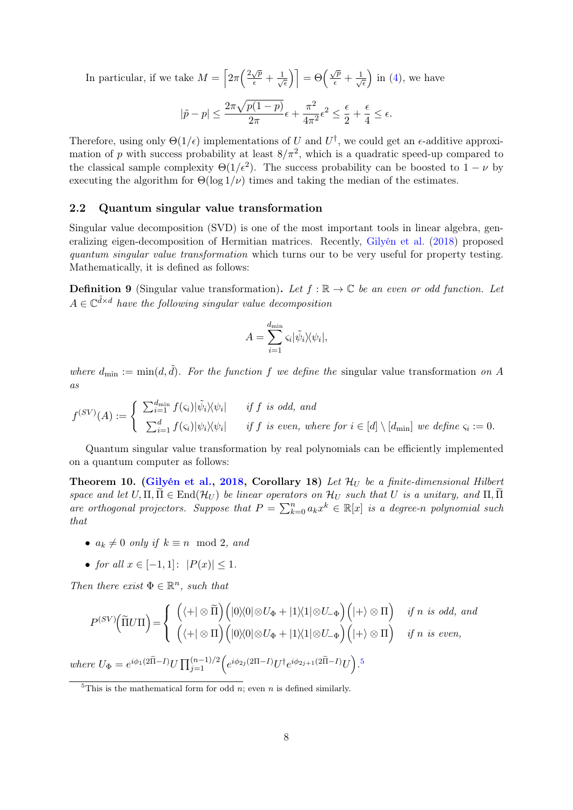In particular, if we take  $M = \left[2\pi \left(\frac{2\sqrt{p}}{\epsilon}\right)\right]$  $\frac{\sqrt{p}}{\epsilon} + \frac{1}{\sqrt{p}}$  $\overline{\overline{\epsilon}}$ ) =  $\Theta\left(\frac{\sqrt{p}}{\epsilon} + \frac{1}{\sqrt{p}}\right)$  $\overline{\epsilon}$ ) in  $(4)$ , we have

$$
|\tilde{p} - p| \le \frac{2\pi\sqrt{p(1-p)}}{2\pi}\epsilon + \frac{\pi^2}{4\pi^2}\epsilon^2 \le \frac{\epsilon}{2} + \frac{\epsilon}{4} \le \epsilon.
$$

Therefore, using only  $\Theta(1/\epsilon)$  implementations of U and  $U^{\dagger}$ , we could get an  $\epsilon$ -additive approximation of p with success probability at least  $8/\pi^2$ , which is a quadratic speed-up compared to the classical sample complexity  $\Theta(1/\epsilon^2)$ . The success probability can be boosted to  $1 - \nu$  by executing the algorithm for  $\Theta(\log 1/\nu)$  times and taking the median of the estimates.

#### 2.2 Quantum singular value transformation

Singular value decomposition (SVD) is one of the most important tools in linear algebra, generalizing eigen-decomposition of Hermitian matrices. Recently, [Gilyén et al.](#page-13-12) [\(2018\)](#page-13-12) proposed quantum singular value transformation which turns our to be very useful for property testing. Mathematically, it is defined as follows:

**Definition 9** (Singular value transformation). Let  $f : \mathbb{R} \to \mathbb{C}$  be an even or odd function. Let  $A \in \mathbb{C}^{\tilde{d} \times d}$  have the following singular value decomposition

$$
A = \sum_{i=1}^{d_{\min}} \varsigma_i |\tilde{\psi}_i\rangle\langle\psi_i|,
$$

where  $d_{\min} := \min(d, \tilde{d})$ . For the function f we define the singular value transformation on A as

$$
f^{(SV)}(A) := \begin{cases} \sum_{i=1}^{d_{\min}} f(\varsigma_i) |\tilde{\psi}_i\rangle\langle\psi_i| & \text{if } f \text{ is odd, and} \\ \sum_{i=1}^{d} f(\varsigma_i) |\psi_i\rangle\langle\psi_i| & \text{if } f \text{ is even, where for } i \in [d] \setminus [d_{\min}] \text{ we define } \varsigma_i := 0. \end{cases}
$$

Quantum singular value transformation by real polynomials can be efficiently implemented on a quantum computer as follows:

<span id="page-7-1"></span>Theorem 10. [\(Gilyén et al.,](#page-13-12) [2018,](#page-13-12) Corollary 18) Let  $\mathcal{H}_U$  be a finite-dimensional Hilbert space and let  $U, \Pi, \Pi \in \text{End}(\mathcal{H}_U)$  be linear operators on  $\mathcal{H}_U$  such that U is a unitary, and  $\Pi, \Pi$ are orthogonal projectors. Suppose that  $P = \sum_{k=0}^{n} a_k x^k \in \mathbb{R}[x]$  is a degree-n polynomial such that

- $a_k \neq 0$  only if  $k \equiv n \mod 2$ , and
- for all  $x \in [-1, 1]$ :  $|P(x)| \leq 1$ .

Then there exist  $\Phi \in \mathbb{R}^n$ , such that

$$
P^{(SV)}(\tilde{\Pi}U\Pi) = \begin{cases} \left( \langle + | \otimes \tilde{\Pi} \right) \left( |0\rangle\langle 0| \otimes U_{\Phi} + |1\rangle\langle 1| \otimes U_{-\Phi} \right) \left( | + \rangle \otimes \Pi \right) & \text{if } n \text{ is odd, and} \\ \left( \langle + | \otimes \Pi \right) \left( |0\rangle\langle 0| \otimes U_{\Phi} + |1\rangle\langle 1| \otimes U_{-\Phi} \right) \left( | + \rangle \otimes \Pi \right) & \text{if } n \text{ is even,} \end{cases}
$$
  
where  $U_{\Phi} = e^{i\phi_1(2\tilde{\Pi} - I)} U \prod_{j=1}^{(n-1)/2} \left( e^{i\phi_{2j}(2\Pi - I)} U^{\dagger} e^{i\phi_{2j+1}(2\tilde{\Pi} - I)} U \right)$ .<sup>5</sup>

<span id="page-7-0"></span><sup>5</sup>This is the mathematical form for odd *n*; even *n* is defined similarly.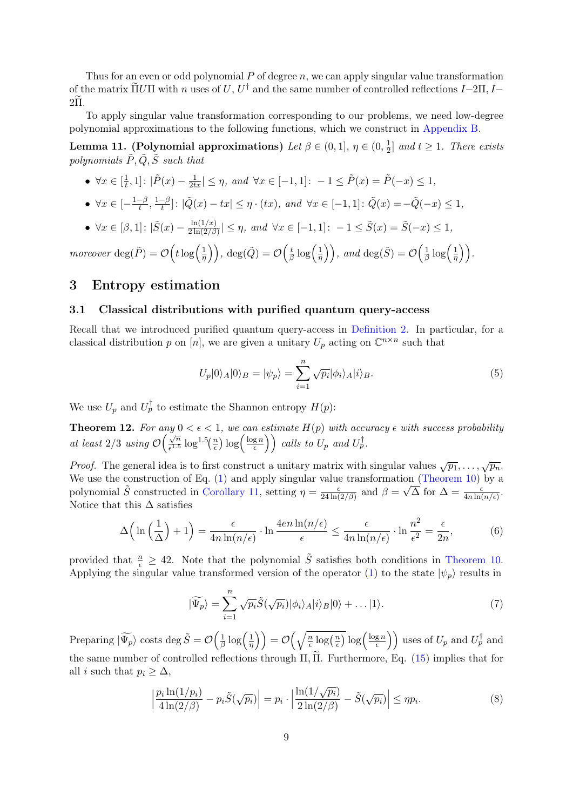Thus for an even or odd polynomial  $P$  of degree  $n$ , we can apply singular value transformation of the matrix  $\tilde{\Pi} U \Pi$  with n uses of  $U, U^{\dagger}$  and the same number of controlled reflections  $I-2\Pi, I-\tilde{\Pi}$  $2\Pi$ .

To apply singular value transformation corresponding to our problems, we need low-degree polynomial approximations to the following functions, which we construct in [Appendix B.](#page-15-1)

<span id="page-8-2"></span>Lemma 11. (Polynomial approximations) Let  $\beta \in (0,1], \eta \in (0,\frac{1}{2})$  $\frac{1}{2}$  and  $t \geq 1$ . There exists polynomials  $\tilde{P}, \tilde{Q}, \tilde{S}$  such that

• 
$$
\forall x \in [\frac{1}{t}, 1]: |\tilde{P}(x) - \frac{1}{2tx}| \leq \eta
$$
, and  $\forall x \in [-1, 1]: -1 \leq \tilde{P}(x) = \tilde{P}(-x) \leq 1$ ,

• 
$$
\forall x \in [-\frac{1-\beta}{t}, \frac{1-\beta}{t}]: |\tilde{Q}(x) - tx| \leq \eta \cdot (tx), \text{ and } \forall x \in [-1,1]: \tilde{Q}(x) = -\tilde{Q}(-x) \leq 1,
$$

•  $\forall x \in [\beta, 1] : |\tilde{S}(x) - \frac{\ln(1/x)}{2 \ln(2/\beta)}$  $\frac{\ln(1/x)}{2\ln(2/\beta)} \leq \eta$ , and  $\forall x \in [-1,1]$ :  $-1 \leq \tilde{S}(x) = \tilde{S}(-x) \leq 1$ ,

moreover  $\deg(\tilde{P}) = \mathcal{O}\left(t \log\left(\frac{1}{n}\right)\right)$  $\left(\frac{1}{\eta}\right)\Big),\ \deg(\tilde{Q})=\mathcal{O}\Big(\frac{t}{\beta}\Big)$  $rac{t}{\beta} \log \left( \frac{1}{\eta} \right)$  $\left(\frac{1}{\eta}\right)$ ), and  $\deg(\tilde{S}) = \mathcal{O}\left(\frac{1}{\beta}\right)$  $rac{1}{\beta} \log \left( \frac{1}{\eta} \right)$  $\frac{1}{\eta}$ ).

# <span id="page-8-1"></span>3 Entropy estimation

### 3.1 Classical distributions with purified quantum query-access

Recall that we introduced purified quantum query-access in [Definition 2.](#page-1-2) In particular, for a classical distribution p on [n], we are given a unitary  $U_p$  acting on  $\mathbb{C}^{n \times n}$  such that

<span id="page-8-4"></span>
$$
U_p|0\rangle_A|0\rangle_B = |\psi_p\rangle = \sum_{i=1}^n \sqrt{p_i} |\phi_i\rangle_A |i\rangle_B. \tag{5}
$$

We use  $U_p$  and  $U_p^{\dagger}$  to estimate the Shannon entropy  $H(p)$ :

<span id="page-8-0"></span>**Theorem 12.** For any  $0 < \epsilon < 1$ , we can estimate  $H(p)$  with accuracy  $\epsilon$  with success probability at least  $2/3$  using  $\mathcal{O}\left(\frac{\sqrt{n}}{\epsilon^{1.5}}\right)$  $\frac{\sqrt{n}}{\epsilon^{1.5}} \log^{1.5}(\frac{n}{\epsilon})$  $\frac{n}{\epsilon}$ )  $\log\left(\frac{\log n}{\epsilon}\right)$  $\left(\frac{\text{g }n}{\epsilon}\right)$  calls to  $U_p$  and  $U_p^{\dagger}$ .

*Proof.* The general idea is to first construct a unitary matrix with singular values  $\sqrt{p_1}, \ldots, \sqrt{p_n}$ . We use the construction of Eq. [\(1\)](#page-4-1) and apply singular value transformation [\(Theorem 10\)](#page-7-1) by a polynomial  $\tilde{S}$  constructed in [Corollary 11,](#page-8-2) setting  $\eta = \frac{\epsilon}{24 \text{ ln}}$  $\frac{\epsilon}{24 \ln(2/\beta)}$  and  $\beta = \sqrt{\Delta}$  for  $\Delta = \frac{\epsilon}{4 n \ln(n/\epsilon)}$ . Notice that this  $\Delta$  satisfies

$$
\Delta\left(\ln\left(\frac{1}{\Delta}\right)+1\right) = \frac{\epsilon}{4n\ln(n/\epsilon)} \cdot \ln\frac{4en\ln(n/\epsilon)}{\epsilon} \le \frac{\epsilon}{4n\ln(n/\epsilon)} \cdot \ln\frac{n^2}{\epsilon^2} = \frac{\epsilon}{2n},\tag{6}
$$

provided that  $\frac{n}{\epsilon} \geq 42$ . Note that the polynomial  $\tilde{S}$  satisfies both conditions in [Theorem 10.](#page-7-1) Applying the singular value transformed version of the operator [\(1\)](#page-4-1) to the state  $|\psi_p\rangle$  results in

<span id="page-8-5"></span><span id="page-8-3"></span>
$$
|\widetilde{\Psi_p}\rangle = \sum_{i=1}^n \sqrt{p_i} \widetilde{S}(\sqrt{p_i}) |\phi_i\rangle_A |i\rangle_B |0\rangle + \dots |1\rangle.
$$
 (7)

Preparing  $|\widetilde{\Psi_p}\rangle$  costs deg  $\tilde{S} = \mathcal{O}\left(\frac{1}{\beta}\right)$  $rac{1}{\beta} \log \left( \frac{1}{\eta} \right)$  $\left(\frac{1}{\eta}\right)\Big) = \mathcal{O}\Big(\sqrt{\frac{n}{\epsilon}}\Big)$  $\frac{n}{\epsilon} \log\left(\frac{n}{\epsilon}\right)$  $\sqrt{\frac{n}{\epsilon}}\log\left(\frac{\log n}{\epsilon}\right)$  $\left(\frac{gn}{\epsilon}\right)$  uses of  $U_p$  and  $U_p^{\dagger}$  and the same number of controlled reflections through  $\Pi$ ,  $\Pi$ . Furthermore, Eq. [\(15\)](#page-16-2) implies that for all *i* such that  $p_i \geq \Delta$ ,

$$
\left|\frac{p_i \ln(1/p_i)}{4 \ln(2/\beta)} - p_i \tilde{S}(\sqrt{p_i})\right| = p_i \cdot \left|\frac{\ln(1/\sqrt{p_i})}{2 \ln(2/\beta)} - \tilde{S}(\sqrt{p_i})\right| \le \eta p_i.
$$
\n(8)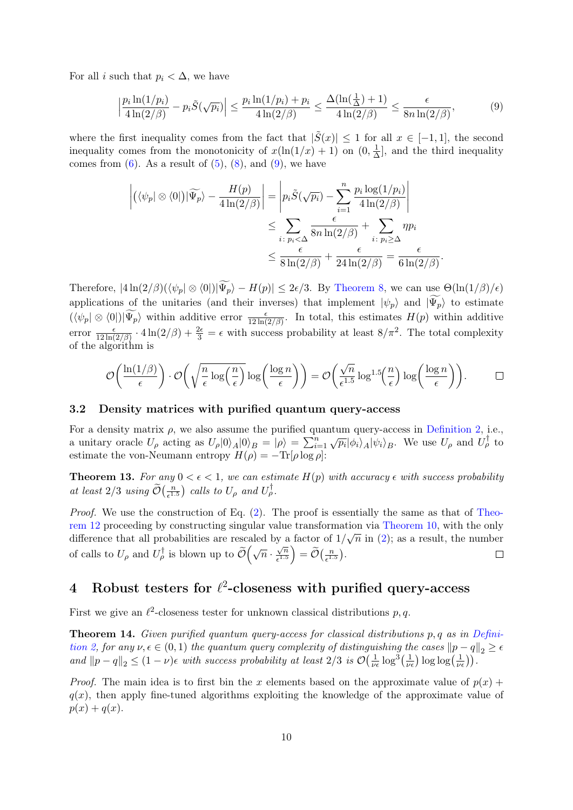For all i such that  $p_i < \Delta$ , we have

$$
\left|\frac{p_i \ln(1/p_i)}{4\ln(2/\beta)} - p_i \tilde{S}(\sqrt{p_i})\right| \le \frac{p_i \ln(1/p_i) + p_i}{4\ln(2/\beta)} \le \frac{\Delta(\ln(\frac{1}{\Delta}) + 1)}{4\ln(2/\beta)} \le \frac{\epsilon}{8n\ln(2/\beta)},\tag{9}
$$

where the first inequality comes from the fact that  $|\tilde{S}(x)| \leq 1$  for all  $x \in [-1,1]$ , the second inequality comes from the monotonicity of  $x(\ln(1/x) + 1)$  on  $(0, \frac{1}{\Delta})$  $\frac{1}{\Delta}$ , and the third inequality comes from  $(6)$ . As a result of  $(5)$ ,  $(8)$ , and  $(9)$ , we have

<span id="page-9-3"></span>
$$
\left| \left( \langle \psi_p | \otimes \langle 0 | \right) | \widetilde{\Psi_p} \rangle - \frac{H(p)}{4 \ln(2/\beta)} \right| = \left| p_i \widetilde{S}(\sqrt{p_i}) - \sum_{i=1}^n \frac{p_i \log(1/p_i)}{4 \ln(2/\beta)} \right|
$$
  

$$
\leq \sum_{i \colon p_i < \Delta} \frac{\epsilon}{8n \ln(2/\beta)} + \sum_{i \colon p_i \geq \Delta} \eta p_i
$$
  

$$
\leq \frac{\epsilon}{8 \ln(2/\beta)} + \frac{\epsilon}{24 \ln(2/\beta)} = \frac{\epsilon}{6 \ln(2/\beta)}.
$$

Therefore,  $|4\ln(2/\beta)(\langle\psi_p|\otimes\langle 0|)|\widetilde{\Psi_p}\rangle - H(p)| \leq 2\epsilon/3$ . By [Theorem 8,](#page-6-3) we can use  $\Theta(\ln(1/\beta)/\epsilon)$ applications of the unitaries (and their inverses) that implement  $|\psi_p\rangle$  and  $|\widetilde{\Psi_p}\rangle$  to estimate  $(\langle \psi_p | \otimes \langle 0 | \rangle | \widetilde{\Psi_p} \rangle$  within additive error  $\frac{\epsilon}{12 \ln(2/\beta)}$ . In total, this estimates  $H(p)$  within additive error  $\frac{\epsilon}{12 \ln(2/\beta)} \cdot 4 \ln(2/\beta) + \frac{2\epsilon}{3} = \epsilon$  with success probability at least  $8/\pi^2$ . The total complexity of the algorithm is

$$
\mathcal{O}\left(\frac{\ln(1/\beta)}{\epsilon}\right) \cdot \mathcal{O}\left(\sqrt{\frac{n}{\epsilon} \log\left(\frac{n}{\epsilon}\right)} \log\left(\frac{\log n}{\epsilon}\right)\right) = \mathcal{O}\left(\frac{\sqrt{n}}{\epsilon^{1.5}} \log^{1.5}\left(\frac{n}{\epsilon}\right) \log\left(\frac{\log n}{\epsilon}\right)\right). \qquad \Box
$$

#### 3.2 Density matrices with purified quantum query-access

For a density matrix  $\rho$ , we also assume the purified quantum query-access in [Definition 2,](#page-1-2) i.e., a unitary oracle  $U_{\rho}$  acting as  $U_{\rho}|0\rangle_A|0\rangle_B = |\rho\rangle = \sum_{i=1}^n \sqrt{p_i} |\phi_i\rangle_A |\psi_i\rangle_B$ . We use  $U_{\rho}$  and  $U_{\rho}^{\dagger}$  to estimate the von-Neumann entropy  $H(\rho) = -\text{Tr}[\rho \log \rho]$ 

<span id="page-9-0"></span>**Theorem 13.** For any  $0 < \epsilon < 1$ , we can estimate  $H(p)$  with accuracy  $\epsilon$  with success probability at least  $2/3$  using  $\widetilde{\mathcal{O}}\left(\frac{n}{\epsilon^1}\right)$  $\frac{n}{\epsilon^{1.5}}$  calls to  $U_{\rho}$  and  $U_{\rho}^{\dagger}$ .

*Proof.* We use the construction of Eq.  $(2)$ . The proof is essentially the same as that of [Theo](#page-8-0)[rem 12](#page-8-0) proceeding by constructing singular value transformation via [Theorem 10,](#page-7-1) with the only difference that all probabilities are rescaled by a factor of  $1/\sqrt{n}$  in [\(2\)](#page-5-1); as a result, the number √ n of calls to  $U_{\rho}$  and  $U_{\rho}^{\dagger}$  is blown up to  $\widetilde{\mathcal{O}}(\sqrt{n} \cdot$  $\left(\frac{\sqrt{n}}{\epsilon^{1.5}}\right) = \widetilde{\mathcal{O}}\left(\frac{n}{\epsilon^{1.5}}\right)$  $\frac{n}{\epsilon^{1.5}}$ .  $\Box$ 

# <span id="page-9-2"></span>4 Robust testers for  $\ell^2$ -closeness with purified query-access

First we give an  $\ell^2$ -closeness tester for unknown classical distributions p, q.

<span id="page-9-1"></span>**Theorem 14.** Given purified quantum query-access for classical distributions  $p, q$  as in [Defini](#page-1-2)[tion 2,](#page-1-2) for any  $\nu, \epsilon \in (0, 1)$  the quantum query complexity of distinguishing the cases  $||p - q||_2 \geq \epsilon$ and  $||p - q||_2 \leq (1 - \nu)\epsilon$  with success probability at least 2/3 is  $\mathcal{O}(\frac{1}{\nu\epsilon})$  $\frac{1}{\nu \epsilon} \log^3(\frac{1}{\nu \epsilon}) \log \log(\frac{1}{\nu \epsilon})$ .

*Proof.* The main idea is to first bin the x elements based on the approximate value of  $p(x)$  +  $q(x)$ , then apply fine-tuned algorithms exploiting the knowledge of the approximate value of  $p(x) + q(x)$ .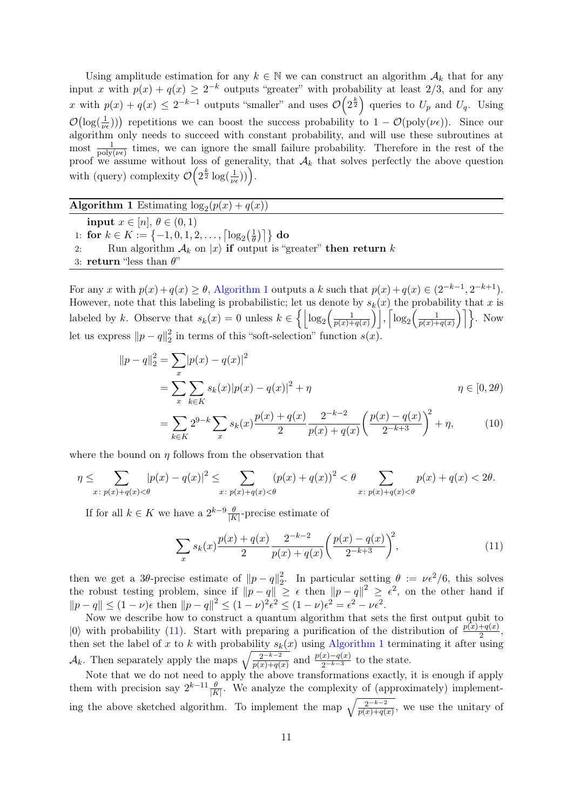Using amplitude estimation for any  $k \in \mathbb{N}$  we can construct an algorithm  $\mathcal{A}_k$  that for any input x with  $p(x) + q(x) \geq 2^{-k}$  outputs "greater" with probability at least 2/3, and for any x with  $p(x) + q(x) \leq 2^{-k-1}$  outputs "smaller" and uses  $\mathcal{O}(2^{\frac{k}{2}})$  queries to  $U_p$  and  $U_q$ . Using  $\mathcal{O}(\log(\frac{1}{\nu_{\epsilon}}))$  repetitions we can boost the success probability to  $1 - \mathcal{O}(\text{poly}(\nu_{\epsilon}))$ . Since our algorithm only needs to succeed with constant probability, and will use these subroutines at most  $\frac{1}{\text{poly}(\nu\epsilon)}$  times, we can ignore the small failure probability. Therefore in the rest of the proof we assume without loss of generality, that  $A_k$  that solves perfectly the above question with (query) complexity  $\mathcal{O}\left(2^{\frac{k}{2}}\log(\frac{1}{\nu_{\epsilon}})\right)$ .

<span id="page-10-0"></span>**Algorithm 1** Estimating  $log_2(p(x) + q(x))$ input  $x \in [n], \theta \in (0,1)$ 1: for  $k \in K := \{-1, 0, 1, 2, \ldots, \lceil \log_2(\frac{1}{\theta}) \rceil \}$  $\left\lfloor\frac{1}{\theta}\right\rceil\right\}$  do 2: Run algorithm  $\mathcal{A}_k$  on  $|x\rangle$  if output is "greater" then return k 3: return "less than  $\theta$ "

For any x with  $p(x) + q(x) \ge \theta$ , [Algorithm 1](#page-10-0) outputs a k such that  $p(x) + q(x) \in (2^{-k-1}, 2^{-k+1})$ . However, note that this labeling is probabilistic; let us denote by  $s_k(x)$  the probability that x is labeled by k. Observe that  $s_k(x) = 0$  unless  $k \in \left\{ \left| \log_2 \left( \frac{1}{p(x)} \right) \right| \right\}$  $\frac{1}{p(x)+q(x)}\Big)\Big\vert\,,\Big\lceil\log_2\Big(\frac{1}{p(x)+q(x)}\Big)\Big\vert$  $\frac{1}{p(x)+q(x)}\bigg)\bigg\}$ . Now let us express  $||p - q||_2^2$  $\frac{2}{2}$  in terms of this "soft-selection" function  $s(x)$ .

$$
||p - q||_2^2 = \sum_x |p(x) - q(x)|^2
$$
  
= 
$$
\sum_x \sum_{k \in K} s_k(x) |p(x) - q(x)|^2 + \eta
$$
  
= 
$$
\sum_{k \in K} 2^{9-k} \sum_x s_k(x) \frac{p(x) + q(x)}{2} \frac{2^{-k-2}}{p(x) + q(x)} \left(\frac{p(x) - q(x)}{2^{-k+3}}\right)^2 + \eta,
$$
 (10)

where the bound on  $\eta$  follows from the observation that

$$
\eta \leq \sum_{x \colon p(x) + q(x) < \theta} |p(x) - q(x)|^2 \leq \sum_{x \colon p(x) + q(x) < \theta} (p(x) + q(x))^2 < \theta \sum_{x \colon p(x) + q(x) < \theta} p(x) + q(x) < 2\theta.
$$

If for all  $k \in K$  we have a  $2^{k-9} \frac{\theta}{|K|}$ -precise estimate of

<span id="page-10-1"></span>
$$
\sum_{x} s_k(x) \frac{p(x) + q(x)}{2} \frac{2^{-k-2}}{p(x) + q(x)} \left(\frac{p(x) - q(x)}{2^{-k+3}}\right)^2, \tag{11}
$$

then we get a 3θ-precise estimate of  $||p - q||_2^2$ <sup>2</sup>/<sub>2</sub>. In particular setting  $\theta := \nu \epsilon^2/6$ , this solves the robust testing problem, since if  $||p - q|| \ge \epsilon$  then  $||p - q||^2 \ge \epsilon^2$ , on the other hand if  $||p - q|| \le (1 - \nu)\epsilon$  then  $||p - q||^2 \le (1 - \nu)^2 \epsilon^2 \le (1 - \nu)\epsilon^2 = \epsilon^2 - \nu\epsilon^2$ .

Now we describe how to construct a quantum algorithm that sets the first output qubit to  $|0\rangle$  with probability [\(11\)](#page-10-1). Start with preparing a purification of the distribution of  $\frac{p(x)+q(x)}{2}$ , then set the label of x to k with probability  $s_k(x)$  using [Algorithm 1](#page-10-0) terminating it after using  $\mathcal{A}_k$ . Then separately apply the maps  $\sqrt{\frac{2^{-k-2}}{p(x)+q(x)}}$  and  $\frac{p(x)-q(x)}{2^{-k-3}}$  to the state.

Note that we do not need to apply the above transformations exactly, it is enough if apply them with precision say  $2^{k-1} \frac{\theta}{|K|}$ . We analyze the complexity of (approximately) implementing the above sketched algorithm. To implement the map  $\sqrt{\frac{2^{-k-2}}{p(x)+q(x)}}$ , we use the unitary of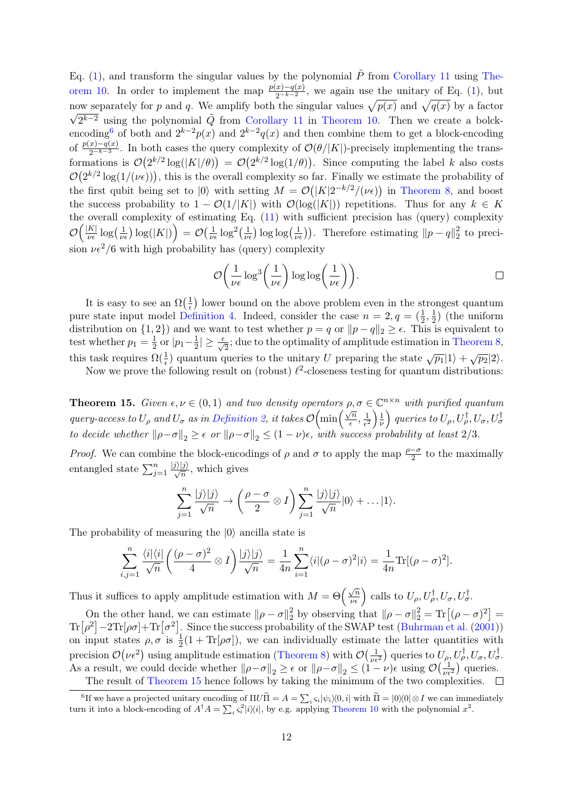Eq. [\(1\)](#page-4-1), and transform the singular values by the polynomial  $\tilde{P}$  from [Corollary 11](#page-8-2) using [The](#page-7-1)[orem 10.](#page-7-1) In order to implement the map  $\frac{p(x)-q(x)}{2^{-k-2}}$ , we again use the unitary of Eq. [\(1\)](#page-4-1), but now separately for p and q. We amplify both the singular values  $\sqrt{p(x)}$  and  $\sqrt{q(x)}$  by a factor  $2^{k-2}$  using the polynomial  $\tilde{Q}$  from [Corollary 11](#page-8-2) in [Theorem 10.](#page-7-1) Then we create a bolck-encoding<sup>[6](#page-11-1)</sup> of both and  $2^{k-2}p(x)$  and  $2^{k-2}q(x)$  and then combine them to get a block-encoding of  $\frac{p(x)-q(x)}{2^{-k-3}}$ . In both cases the query complexity of  $\mathcal{O}(\theta/|K|)$ -precisely implementing the transformations is  $\mathcal{O}(2^{k/2} \log(|K|/\theta)) = \mathcal{O}(2^{k/2} \log(1/\theta))$ . Since computing the label k also costs  $\mathcal{O}(2^{k/2}\log(1/(\nu\epsilon)))$ , this is the overall complexity so far. Finally we estimate the probability of the first qubit being set to |0\, with setting  $M = \mathcal{O}(|K|2^{-k/2}/(\nu_{\epsilon}))$  in [Theorem 8,](#page-6-3) and boost the success probability to  $1 - \mathcal{O}(1/|K|)$  with  $\mathcal{O}(\log(|K|))$  repetitions. Thus for any  $k \in K$ the overall complexity of estimating Eq. [\(11\)](#page-10-1) with sufficient precision has (query) complexity  $\mathcal{O}\Big(\frac{|K|}{\mu\epsilon}$  $\frac{|K|}{\nu \epsilon} \log\left(\frac{1}{\nu \epsilon}\right) \log(|K|) \Big) = \mathcal{O}\big(\frac{1}{\nu \epsilon}\big)$  $\frac{1}{\nu \epsilon} \log^2(\frac{1}{\nu \epsilon}) \log \log(\frac{1}{\nu \epsilon}))$ . Therefore estimating  $||p - q||_2^2$  $\frac{2}{2}$  to precision  $\nu \epsilon^2/6$  with high probability has (query) complexity

$$
\mathcal{O}\left(\frac{1}{\nu\epsilon}\log^3\left(\frac{1}{\nu\epsilon}\right)\log\log\left(\frac{1}{\nu\epsilon}\right)\right).
$$

It is easy to see an  $\Omega(\frac{1}{\epsilon})$  $\frac{1}{\epsilon}$ ) lower bound on the above problem even in the strongest quantum pure state input model [Definition 4.](#page-2-1) Indeed, consider the case  $n = 2, q = (\frac{1}{2}, \frac{1}{2})$  $(\frac{1}{2})$  (the uniform distribution on  $\{1, 2\}$  and we want to test whether  $p = q$  or  $||p - q||_2 \ge \epsilon$ . This is equivalent to test whether  $p_1 = \frac{1}{2}$  $rac{1}{2}$  or  $|p_1-\frac{1}{2}|$  $\frac{1}{2}$  |  $\geq \frac{\epsilon}{\sqrt{2}}$ ; due to the optimality of amplitude estimation in [Theorem 8,](#page-6-3) this task requires  $\Omega(\frac{1}{\epsilon})$  quantum queries to the unitary U preparing the state  $\sqrt{p_1}|1\rangle + \sqrt{p_2}|2\rangle$ .

Now we prove the following result on (robust)  $\ell^2$ -closeness testing for quantum distributions:

<span id="page-11-0"></span>**Theorem 15.** Given  $\epsilon, \nu \in (0,1)$  and two density operators  $\rho, \sigma \in \mathbb{C}^{n \times n}$  with purified quantum query-access to  $U_{\rho}$  and  $U_{\sigma}$  as in [Definition 2,](#page-1-2) it takes  $\mathcal{O}(\min\left(\frac{\sqrt{n}}{2}\right))$  $\frac{\sqrt{n}}{\epsilon}, \frac{1}{\epsilon^2}$  $\frac{1}{\epsilon^2}\bigg)\frac{1}{\nu}$  $\left(\frac{1}{\nu}\right)$  queries to  $U_\rho, U_\rho^\dagger, U_\sigma, U_\sigma^\dagger$ to decide whether  $\|\rho-\sigma\|_2 \geq \epsilon$  or  $\|\rho-\sigma\|_2 \leq (1-\nu)\epsilon$ , with success probability at least 2/3.

*Proof.* We can combine the block-encodings of  $\rho$  and  $\sigma$  to apply the map  $\frac{\rho-\sigma}{2}$  to the maximally entangled state  $\sum_{j=1}^n$  $\frac{|j\rangle|j\rangle}{\sqrt{n}}$ , which gives

$$
\sum_{j=1}^n \frac{|j\rangle|j\rangle}{\sqrt{n}} \to \left(\frac{\rho-\sigma}{2}\otimes I\right) \sum_{j=1}^n \frac{|j\rangle|j\rangle}{\sqrt{n}}|0\rangle + \dots |1\rangle.
$$

The probability of measuring the  $|0\rangle$  ancilla state is

$$
\sum_{i,j=1}^n \frac{\langle i|\langle i|}{\sqrt{n}} \left(\frac{(\rho-\sigma)^2}{4}\otimes I\right) \frac{|j\rangle|j\rangle}{\sqrt{n}} = \frac{1}{4n} \sum_{i=1}^n \langle i|(\rho-\sigma)^2|i\rangle = \frac{1}{4n} \text{Tr}[(\rho-\sigma)^2].
$$

Thus it suffices to apply amplitude estimation with  $M = \Theta\left(\frac{\sqrt{n}}{\nu \epsilon}\right)$  calls to  $U_{\rho}, U_{\rho}^{\dagger}, U_{\sigma}, U_{\sigma}^{\dagger}$ .

On the other hand, we can estimate  $\|\rho - \sigma\|_2^2$  $\frac{2}{2}$  by observing that  $\|\rho - \sigma\|_2^2 = \text{Tr}\left[(\rho - \sigma)^2\right] =$  $\text{Tr}[\rho^2] - 2\text{Tr}[\rho \sigma] + \text{Tr}[\sigma^2]$ . Since the success probability of the SWAP test [\(Buhrman et al.](#page-13-13) [\(2001\)](#page-13-13)) on input states  $\rho, \sigma$  is  $\frac{1}{2}(1 + Tr[\rho \sigma])$ , we can individually estimate the latter quantities with precision  $\mathcal{O}(\nu \epsilon^2)$  using amplitude estimation [\(Theorem 8\)](#page-6-3) with  $\mathcal{O}(\frac{1}{\nu \epsilon^2})$  queries to  $U_{\rho}, U_{\rho}^{\dagger}, U_{\sigma}, U_{\sigma}^{\dagger}$ . As a result, we could decide whether  $\|\rho-\sigma\|_2 \geq \epsilon$  or  $\|\rho-\sigma\|_2 \leq (1-\nu)\epsilon$  using  $\mathcal{O}\left(\frac{1}{\nu\epsilon^2}\right)$  queries.

<span id="page-11-1"></span>The result of [Theorem 15](#page-11-0) hence follows by taking the minimum of the two complexities.  $\Box$ 

<sup>&</sup>lt;sup>6</sup>If we have a projected unitary encoding of  $\Pi U \tilde{\Pi} = A = \sum_i \varsigma_i |\psi_i\rangle\langle 0, i|$  with  $\tilde{\Pi} = |0\rangle\langle 0| \otimes I$  we can immediately turn it into a block-encoding of  $A^{\dagger}A = \sum_i \zeta_i^2 |i\rangle\langle i|$ , by e.g. applying [Theorem 10](#page-7-1) with the polynomial  $x^2$ .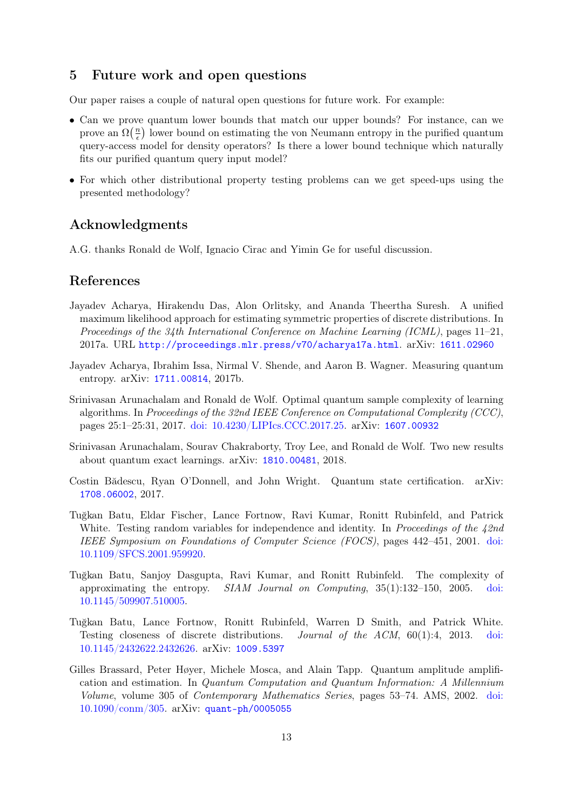# 5 Future work and open questions

Our paper raises a couple of natural open questions for future work. For example:

- Can we prove quantum lower bounds that match our upper bounds? For instance, can we prove an  $\Omega(\frac{n}{\epsilon})$  $\frac{n}{\epsilon}$ ) lower bound on estimating the von Neumann entropy in the purified quantum query-access model for density operators? Is there a lower bound technique which naturally fits our purified quantum query input model?
- For which other distributional property testing problems can we get speed-ups using the presented methodology?

# Acknowledgments

A.G. thanks Ronald de Wolf, Ignacio Cirac and Yimin Ge for useful discussion.

## References

- <span id="page-12-2"></span>Jayadev Acharya, Hirakendu Das, Alon Orlitsky, and Ananda Theertha Suresh. A unified maximum likelihood approach for estimating symmetric properties of discrete distributions. In Proceedings of the 34th International Conference on Machine Learning (ICML), pages 11–21, 2017a. URL <http://proceedings.mlr.press/v70/acharya17a.html>. arXiv: [1611.02960](https://arxiv.org/abs/1611.02960)
- <span id="page-12-4"></span>Jayadev Acharya, Ibrahim Issa, Nirmal V. Shende, and Aaron B. Wagner. Measuring quantum entropy. arXiv: [1711.00814](https://arxiv.org/abs/1711.00814), 2017b.
- <span id="page-12-0"></span>Srinivasan Arunachalam and Ronald de Wolf. Optimal quantum sample complexity of learning algorithms. In Proceedings of the 32nd IEEE Conference on Computational Complexity (CCC), pages 25:1–25:31, 2017. [doi: 10.4230/LIPIcs.CCC.2017.25.](http://doi.org/10.4230/LIPIcs.CCC.2017.25) arXiv: [1607.00932](https://arxiv.org/abs/1607.00932)
- <span id="page-12-1"></span>Srinivasan Arunachalam, Sourav Chakraborty, Troy Lee, and Ronald de Wolf. Two new results about quantum exact learnings. arXiv: [1810.00481](https://arxiv.org/abs/1810.00481), 2018.
- <span id="page-12-3"></span>Costin Bădescu, Ryan O'Donnell, and John Wright. Quantum state certification. arXiv: [1708.06002](https://arxiv.org/abs/1708.06002), 2017.
- <span id="page-12-6"></span>Tuğkan Batu, Eldar Fischer, Lance Fortnow, Ravi Kumar, Ronitt Rubinfeld, and Patrick White. Testing random variables for independence and identity. In Proceedings of the  $42nd$ IEEE Symposium on Foundations of Computer Science (FOCS), pages 442–451, 2001. [doi:](http://doi.org/10.1109/SFCS.2001.959920) [10.1109/SFCS.2001.959920.](http://doi.org/10.1109/SFCS.2001.959920)
- <span id="page-12-7"></span>Tuğkan Batu, Sanjoy Dasgupta, Ravi Kumar, and Ronitt Rubinfeld. The complexity of approximating the entropy. SIAM Journal on Computing, 35(1):132–150, 2005. [doi:](http://doi.org/10.1145/509907.510005) [10.1145/509907.510005.](http://doi.org/10.1145/509907.510005)
- <span id="page-12-5"></span>Tuğkan Batu, Lance Fortnow, Ronitt Rubinfeld, Warren D Smith, and Patrick White. Testing closeness of discrete distributions. Journal of the ACM, 60(1):4, 2013. [doi:](http://doi.org/10.1145/2432622.2432626) [10.1145/2432622.2432626.](http://doi.org/10.1145/2432622.2432626) arXiv: [1009.5397](https://arxiv.org/abs/1009.5397)
- <span id="page-12-8"></span>Gilles Brassard, Peter Høyer, Michele Mosca, and Alain Tapp. Quantum amplitude amplification and estimation. In Quantum Computation and Quantum Information: A Millennium Volume, volume 305 of Contemporary Mathematics Series, pages 53–74. AMS, 2002. [doi:](http://doi.org/10.1090/conm/305) [10.1090/conm/305.](http://doi.org/10.1090/conm/305) arXiv: [quant-ph/0005055](https://arxiv.org/abs/quant-ph/0005055)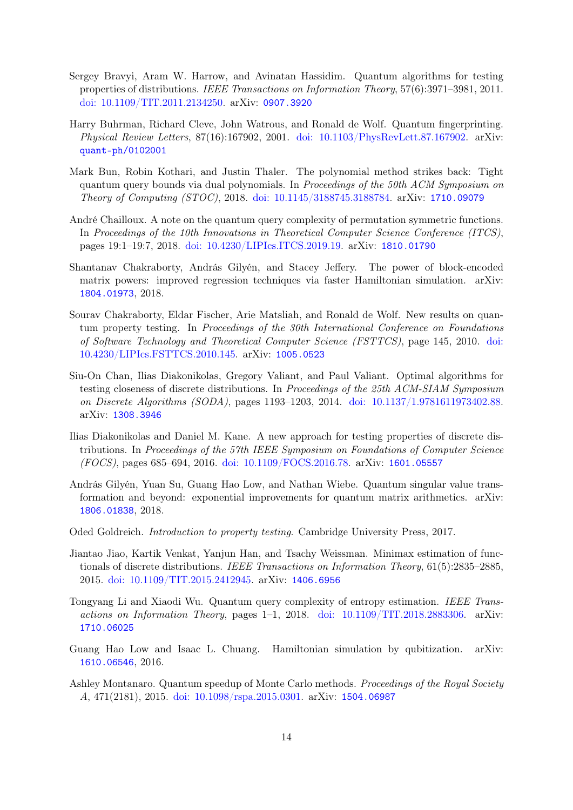- <span id="page-13-2"></span>Sergey Bravyi, Aram W. Harrow, and Avinatan Hassidim. Quantum algorithms for testing properties of distributions. IEEE Transactions on Information Theory, 57(6):3971–3981, 2011. [doi: 10.1109/TIT.2011.2134250.](http://doi.org/10.1109/TIT.2011.2134250) arXiv: [0907.3920](https://arxiv.org/abs/0907.3920)
- <span id="page-13-13"></span>Harry Buhrman, Richard Cleve, John Watrous, and Ronald de Wolf. Quantum fingerprinting. Physical Review Letters, 87(16):167902, 2001. [doi: 10.1103/PhysRevLett.87.167902.](http://doi.org/10.1103/PhysRevLett.87.167902) arXiv: [quant-ph/0102001](https://arxiv.org/abs/quant-ph/0102001)
- <span id="page-13-6"></span>Mark Bun, Robin Kothari, and Justin Thaler. The polynomial method strikes back: Tight quantum query bounds via dual polynomials. In Proceedings of the 50th ACM Symposium on Theory of Computing (STOC), 2018. [doi: 10.1145/3188745.3188784.](http://doi.org/10.1145/3188745.3188784) arXiv: [1710.09079](https://arxiv.org/abs/1710.09079)
- <span id="page-13-9"></span>André Chailloux. A note on the quantum query complexity of permutation symmetric functions. In Proceedings of the 10th Innovations in Theoretical Computer Science Conference (ITCS), pages 19:1–19:7, 2018. [doi: 10.4230/LIPIcs.ITCS.2019.19.](http://doi.org/10.4230/LIPIcs.ITCS.2019.19) arXiv: [1810.01790](https://arxiv.org/abs/1810.01790)
- <span id="page-13-11"></span>Shantanav Chakraborty, András Gilyén, and Stacey Jeffery. The power of block-encoded matrix powers: improved regression techniques via faster Hamiltonian simulation. arXiv: [1804.01973](https://arxiv.org/abs/1804.01973), 2018.
- <span id="page-13-4"></span>Sourav Chakraborty, Eldar Fischer, Arie Matsliah, and Ronald de Wolf. New results on quantum property testing. In Proceedings of the 30th International Conference on Foundations of Software Technology and Theoretical Computer Science (FSTTCS), page 145, 2010. [doi:](http://doi.org/10.4230/LIPIcs.FSTTCS.2010.145) [10.4230/LIPIcs.FSTTCS.2010.145.](http://doi.org/10.4230/LIPIcs.FSTTCS.2010.145) arXiv: [1005.0523](https://arxiv.org/abs/1005.0523)
- <span id="page-13-1"></span>Siu-On Chan, Ilias Diakonikolas, Gregory Valiant, and Paul Valiant. Optimal algorithms for testing closeness of discrete distributions. In Proceedings of the 25th ACM-SIAM Symposium on Discrete Algorithms (SODA), pages 1193–1203, 2014. [doi: 10.1137/1.9781611973402.88.](http://doi.org/10.1137/1.9781611973402.88) arXiv: [1308.3946](https://arxiv.org/abs/1308.3946)
- <span id="page-13-7"></span>Ilias Diakonikolas and Daniel M. Kane. A new approach for testing properties of discrete distributions. In Proceedings of the 57th IEEE Symposium on Foundations of Computer Science (FOCS), pages 685–694, 2016. [doi: 10.1109/FOCS.2016.78.](http://doi.org/10.1109/FOCS.2016.78) arXiv: [1601.05557](https://arxiv.org/abs/1601.05557)
- <span id="page-13-12"></span>András Gilyén, Yuan Su, Guang Hao Low, and Nathan Wiebe. Quantum singular value transformation and beyond: exponential improvements for quantum matrix arithmetics. arXiv: [1806.01838](https://arxiv.org/abs/1806.01838), 2018.
- <span id="page-13-0"></span>Oded Goldreich. Introduction to property testing. Cambridge University Press, 2017.
- <span id="page-13-8"></span>Jiantao Jiao, Kartik Venkat, Yanjun Han, and Tsachy Weissman. Minimax estimation of functionals of discrete distributions. IEEE Transactions on Information Theory, 61(5):2835–2885, 2015. [doi: 10.1109/TIT.2015.2412945.](http://doi.org/10.1109/TIT.2015.2412945) arXiv: [1406.6956](https://arxiv.org/abs/1406.6956)
- <span id="page-13-5"></span>Tongyang Li and Xiaodi Wu. Quantum query complexity of entropy estimation. IEEE Transactions on Information Theory, pages 1–1, 2018. [doi: 10.1109/TIT.2018.2883306.](http://doi.org/10.1109/TIT.2018.2883306) arXiv: [1710.06025](https://arxiv.org/abs/1710.06025)
- <span id="page-13-10"></span>Guang Hao Low and Isaac L. Chuang. Hamiltonian simulation by qubitization. arXiv: [1610.06546](https://arxiv.org/abs/1610.06546), 2016.
- <span id="page-13-3"></span>Ashley Montanaro. Quantum speedup of Monte Carlo methods. Proceedings of the Royal Society A, 471(2181), 2015. [doi: 10.1098/rspa.2015.0301.](http://doi.org/10.1098/rspa.2015.0301) arXiv: [1504.06987](https://arxiv.org/abs/1504.06987)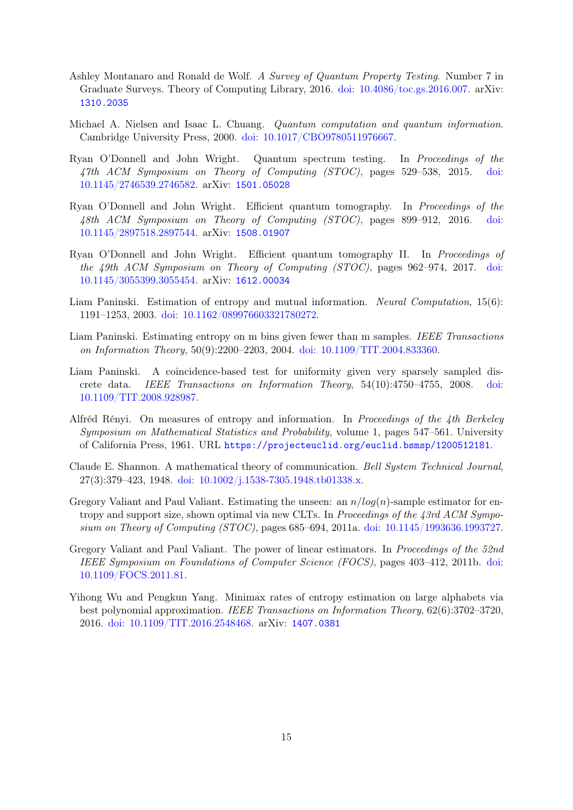- <span id="page-14-0"></span>Ashley Montanaro and Ronald de Wolf. A Survey of Quantum Property Testing. Number 7 in Graduate Surveys. Theory of Computing Library, 2016. [doi: 10.4086/toc.gs.2016.007.](http://doi.org/10.4086/toc.gs.2016.007) arXiv: [1310.2035](https://arxiv.org/abs/1310.2035)
- <span id="page-14-1"></span>Michael A. Nielsen and Isaac L. Chuang. Quantum computation and quantum information. Cambridge University Press, 2000. [doi: 10.1017/CBO9780511976667.](http://doi.org/10.1017/CBO9780511976667)
- <span id="page-14-10"></span>Ryan O'Donnell and John Wright. Quantum spectrum testing. In Proceedings of the 47th ACM Symposium on Theory of Computing (STOC), pages 529–538, 2015. [doi:](http://doi.org/10.1145/2746539.2746582) [10.1145/2746539.2746582.](http://doi.org/10.1145/2746539.2746582) arXiv: [1501.05028](https://arxiv.org/abs/1501.05028)
- <span id="page-14-11"></span>Ryan O'Donnell and John Wright. Efficient quantum tomography. In Proceedings of the 48th ACM Symposium on Theory of Computing (STOC), pages 899–912, 2016. [doi:](http://doi.org/10.1145/2897518.2897544) [10.1145/2897518.2897544.](http://doi.org/10.1145/2897518.2897544) arXiv: [1508.01907](https://arxiv.org/abs/1508.01907)
- <span id="page-14-12"></span>Ryan O'Donnell and John Wright. Efficient quantum tomography II. In Proceedings of the 49th ACM Symposium on Theory of Computing (STOC), pages 962–974, 2017. [doi:](http://doi.org/10.1145/3055399.3055454) [10.1145/3055399.3055454.](http://doi.org/10.1145/3055399.3055454) arXiv: [1612.00034](https://arxiv.org/abs/1612.00034)
- <span id="page-14-6"></span>Liam Paninski. Estimation of entropy and mutual information. Neural Computation, 15(6): 1191–1253, 2003. [doi: 10.1162/089976603321780272.](http://doi.org/10.1162/089976603321780272)
- <span id="page-14-7"></span>Liam Paninski. Estimating entropy on m bins given fewer than m samples. IEEE Transactions on Information Theory, 50(9):2200–2203, 2004. [doi: 10.1109/TIT.2004.833360.](http://doi.org/10.1109/TIT.2004.833360)
- <span id="page-14-4"></span>Liam Paninski. A coincidence-based test for uniformity given very sparsely sampled discrete data. IEEE Transactions on Information Theory, 54(10):4750–4755, 2008. [doi:](http://doi.org/10.1109/TIT.2008.928987) [10.1109/TIT.2008.928987.](http://doi.org/10.1109/TIT.2008.928987)
- <span id="page-14-9"></span>Alfréd Rényi. On measures of entropy and information. In Proceedings of the 4th Berkeley Symposium on Mathematical Statistics and Probability, volume 1, pages 547–561. University of California Press, 1961. URL <https://projecteuclid.org/euclid.bsmsp/1200512181>.
- <span id="page-14-5"></span>Claude E. Shannon. A mathematical theory of communication. Bell System Technical Journal, 27(3):379–423, 1948. [doi: 10.1002/j.1538-7305.1948.tb01338.x.](http://doi.org/10.1002/j.1538-7305.1948.tb01338.x)
- <span id="page-14-3"></span>Gregory Valiant and Paul Valiant. Estimating the unseen: an  $n/log(n)$ -sample estimator for entropy and support size, shown optimal via new CLTs. In Proceedings of the 43rd ACM Symposium on Theory of Computing (STOC), pages 685–694, 2011a. [doi: 10.1145/1993636.1993727.](http://doi.org/10.1145/1993636.1993727)
- <span id="page-14-8"></span>Gregory Valiant and Paul Valiant. The power of linear estimators. In Proceedings of the 52nd IEEE Symposium on Foundations of Computer Science (FOCS), pages 403–412, 2011b. [doi:](http://doi.org/10.1109/FOCS.2011.81) [10.1109/FOCS.2011.81.](http://doi.org/10.1109/FOCS.2011.81)
- <span id="page-14-2"></span>Yihong Wu and Pengkun Yang. Minimax rates of entropy estimation on large alphabets via best polynomial approximation. IEEE Transactions on Information Theory, 62(6):3702–3720, 2016. [doi: 10.1109/TIT.2016.2548468.](http://doi.org/10.1109/TIT.2016.2548468) arXiv: [1407.0381](https://arxiv.org/abs/1407.0381)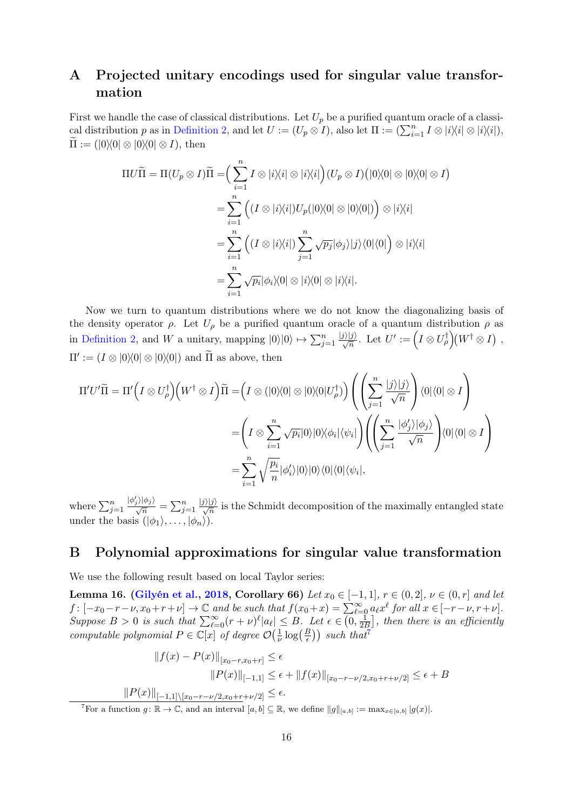# <span id="page-15-0"></span>A Projected unitary encodings used for singular value transformation

First we handle the case of classical distributions. Let  $U_p$  be a purified quantum oracle of a classi-cal distribution p as in [Definition 2,](#page-1-2) and let  $U := (U_p \otimes I)$ , also let  $\Pi := (\sum_{i=1}^n I \otimes |i\rangle\langle i| \otimes |i\rangle\langle i|)$ ,  $\widetilde{\Pi} := (0 \setminus 0 \otimes 0 \setminus 0 \otimes I), \text{ then}$ 

$$
\Pi U \widetilde{\Pi} = \Pi (U_p \otimes I) \widetilde{\Pi} = \Big( \sum_{i=1}^n I \otimes |i\rangle\langle i| \otimes |i\rangle\langle i| \Big) (U_p \otimes I) \Big( |0\rangle\langle 0| \otimes |0\rangle\langle 0| \otimes I \Big)
$$
  

$$
= \sum_{i=1}^n \Big( (I \otimes |i\rangle\langle i|) U_p (|0\rangle\langle 0| \otimes |0\rangle\langle 0|) \Big) \otimes |i\rangle\langle i|
$$
  

$$
= \sum_{i=1}^n \Big( (I \otimes |i\rangle\langle i|) \sum_{j=1}^n \sqrt{p_j} |\phi_j\rangle |j\rangle\langle 0| \langle 0| \Big) \otimes |i\rangle\langle i|
$$
  

$$
= \sum_{i=1}^n \sqrt{p_i} |\phi_i\rangle\langle 0| \otimes |i\rangle\langle 0| \otimes |i\rangle\langle i|.
$$

Now we turn to quantum distributions where we do not know the diagonalizing basis of the density operator  $\rho$ . Let  $U_{\rho}$  be a purified quantum oracle of a quantum distribution  $\rho$  as in [Definition 2,](#page-1-2) and W a unitary, mapping  $|0\rangle|0\rangle \mapsto \sum_{j=1}^{n}$  $\frac{|j\rangle|j\rangle}{\sqrt{n}}$ . Let  $U' := (I \otimes U_{\rho}^{\dagger})(W^{\dagger} \otimes I)$ ,  $\Pi' := (I \otimes |0\rangle\langle 0| \otimes |0\rangle\langle 0|)$  and  $\widetilde{\Pi}$  as above, then

$$
\Pi' U' \widetilde{\Pi} = \Pi' \Big( I \otimes U_{\rho}^{\dagger} \Big) \Big( W^{\dagger} \otimes I \Big) \widetilde{\Pi} = \Big( I \otimes (|0\rangle\langle 0| \otimes |0\rangle\langle 0|U_{\rho}^{\dagger}) \Big) \Big( \Big( \sum_{j=1}^{n} \frac{|j\rangle|j\rangle}{\sqrt{n}} \Big) \langle 0|\langle 0| \otimes I \Big) = \Big( I \otimes \sum_{i=1}^{n} \sqrt{p_i} |0\rangle|0\rangle\langle \phi_i|\langle \psi_i| \Big) \Big( \Big( \sum_{j=1}^{n} \frac{|\phi_j'\rangle|\phi_j\rangle}{\sqrt{n}} \Big) \langle 0|\langle 0| \otimes I \Big) = \sum_{i=1}^{n} \sqrt{\frac{p_i}{n}} |\phi_i'\rangle|0\rangle|0\rangle\langle 0|\langle 0|\langle \psi_i|,
$$

where  $\sum_{j=1}^n$  $\frac{|\phi_j'\rangle|\phi_j\rangle}{\sqrt{n}} = \sum_{j=1}^n$  $\frac{|j\rangle|j\rangle}{\sqrt{n}}$  is the Schmidt decomposition of the maximally entangled state under the basis  $(|\phi_1\rangle, \ldots, |\phi_n\rangle)$ .

# <span id="page-15-1"></span>B Polynomial approximations for singular value transformation

We use the following result based on local Taylor series:

<span id="page-15-3"></span>Lemma 16. [\(Gilyén et al.,](#page-13-12) [2018,](#page-13-12) Corollary 66) Let  $x_0 \in [-1,1]$ ,  $r \in (0,2]$ ,  $\nu \in (0,r]$  and let  $f: [-x_0-r-\nu, x_0+r+\nu] \to \mathbb{C}$  and be such that  $f(x_0+x) = \sum_{\ell=0}^{\infty} a_{\ell} x^{\ell}$  for all  $x \in [-r-\nu, r+\nu]$ . Suppose  $B > 0$  is such that  $\sum_{\ell=0}^{\infty} (r + \nu)^{\ell} |a_{\ell}| \leq B$ . Let  $\epsilon \in \overline{(0, \frac{1}{2}]}$  $\frac{1}{2B}$ , then there is an efficiently computable polynomial  $P \in \mathbb{C}[x]$  of degree  $\mathcal{O}(\frac{1}{n})$  $\frac{1}{\nu} \log\left(\frac{B}{\epsilon}\right)$ ) such that<sup>[7](#page-15-2)</sup>

$$
||f(x) - P(x)||_{[x_0 - r, x_0 + r]} \le \epsilon
$$
  
\n
$$
||P(x)||_{[-1,1]} \le \epsilon + ||f(x)||_{[x_0 - r - \nu/2, x_0 + r + \nu/2]} \le \epsilon + B
$$
  
\n
$$
||P(x)||_{[-1,1] \setminus [x_0 - r - \nu/2, x_0 + r + \nu/2]} \le \epsilon.
$$
  
\n
$$
||f(x)||_{[-1,1] \setminus [x_0 - r - \nu/2, x_0 + r + \nu/2]} \le \epsilon.
$$

<span id="page-15-2"></span><sup>7</sup>For a function  $g: \mathbb{R} \to \mathbb{C}$ , and an interval  $[a, b] \subseteq \mathbb{R}$ , we define  $||g||_{[a, b]} := \max_{x \in [a, b]} |g(x)|$ .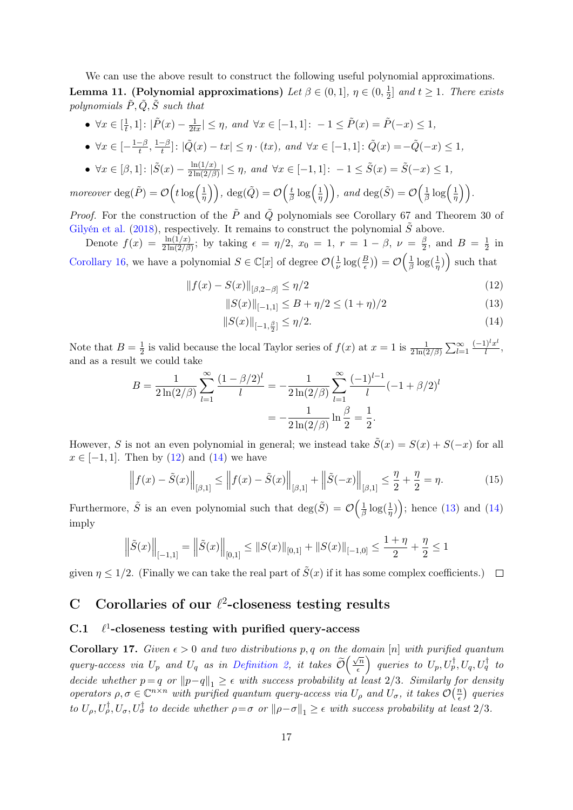We can use the above result to construct the following useful polynomial approximations. Lemma 11. (Polynomial approximations) Let  $\beta \in (0,1], \eta \in (0,\frac{1}{2})$  $\frac{1}{2}$  and  $t \geq 1$ . There exists polynomials  $\tilde{P}, \tilde{Q}, \tilde{S}$  such that

- $\forall x \in \lbrack \frac{1}{t}$  $\frac{1}{t}, 1]: |\tilde{P}(x) - \frac{1}{2tx}| \leq \eta$ , and  $\forall x \in [-1, 1]: -1 \leq \tilde{P}(x) = \tilde{P}(-x) \leq 1$ ,
- $\forall x \in \left[-\frac{1-\beta}{t}\right]$  $\frac{-\beta}{t}, \frac{1-\beta}{t}$  $\left[\frac{-\beta}{t}\right]$ :  $|\tilde{Q}(x) - tx| \leq \eta \cdot (tx)$ , and  $\forall x \in [-1, 1]$ :  $\tilde{Q}(x) = -\tilde{Q}(-x) \leq 1$ ,

• 
$$
\forall x \in [\beta, 1]: |\tilde{S}(x) - \frac{\ln(1/x)}{2\ln(2/\beta)}| \le \eta
$$
, and  $\forall x \in [-1, 1]: -1 \le \tilde{S}(x) = \tilde{S}(-x) \le 1$ ,

*moreover* deg(
$$
\tilde{P}
$$
) =  $\mathcal{O}\left(t \log\left(\frac{1}{\eta}\right)\right)$ , deg( $\tilde{Q}$ ) =  $\mathcal{O}\left(\frac{t}{\beta} \log\left(\frac{1}{\eta}\right)\right)$ , and deg( $\tilde{S}$ ) =  $\mathcal{O}\left(\frac{1}{\beta} \log\left(\frac{1}{\eta}\right)\right)$ .

*Proof.* For the construction of the  $\overline{P}$  and  $\overline{Q}$  polynomials see Corollary 67 and Theorem 30 of [Gilyén et al.](#page-13-12) [\(2018\)](#page-13-12), respectively. It remains to construct the polynomial  $\tilde{S}$  above.

Denote  $f(x) = \frac{\ln(1/x)}{2\ln(2/\beta)}$ ; by taking  $\epsilon = \eta/2$ ,  $x_0 = 1$ ,  $r = 1 - \beta$ ,  $\nu = \frac{\beta}{2}$  $\frac{\beta}{2}$ , and  $B = \frac{1}{2}$  $rac{1}{2}$  in [Corollary 16,](#page-15-3) we have a polynomial  $S \in \mathbb{C}[x]$  of degree  $\mathcal{O}(\frac{1}{n})$  $\frac{1}{\nu}\log(\frac{B}{\epsilon})\big)=\mathcal{O}\Big(\frac{1}{\beta}$  $\frac{1}{\beta} \log(\frac{1}{\eta})$  such that

$$
||f(x) - S(x)||_{[\beta, 2-\beta]} \le \eta/2
$$
\n(12)

$$
||S(x)||_{[-1,1]} \le B + \eta/2 \le (1+\eta)/2 \tag{13}
$$

<span id="page-16-5"></span><span id="page-16-4"></span><span id="page-16-3"></span><span id="page-16-2"></span>
$$
||S(x)||_{[-1,\frac{\beta}{2}]} \le \eta/2. \tag{14}
$$

Note that  $B=\frac{1}{2}$  $\frac{1}{2}$  is valid because the local Taylor series of  $f(x)$  at  $x = 1$  is  $\frac{1}{2\ln(2/\beta)} \sum_{l=1}^{\infty}$  $(-1)^lx^l$  $\frac{l}{l}, \frac{l}{l}$ and as a result we could take

$$
B = \frac{1}{2\ln(2/\beta)} \sum_{l=1}^{\infty} \frac{(1-\beta/2)^l}{l} = -\frac{1}{2\ln(2/\beta)} \sum_{l=1}^{\infty} \frac{(-1)^{l-1}}{l} (-1+\beta/2)^l
$$

$$
= -\frac{1}{2\ln(2/\beta)} \ln\frac{\beta}{2} = \frac{1}{2}.
$$

However, S is not an even polynomial in general; we instead take  $\tilde{S}(x) = S(x) + S(-x)$  for all  $x \in [-1, 1]$ . Then by  $(12)$  and  $(14)$  we have

$$
\left\| f(x) - \tilde{S}(x) \right\|_{[\beta,1]} \le \left\| f(x) - \tilde{S}(x) \right\|_{[\beta,1]} + \left\| \tilde{S}(-x) \right\|_{[\beta,1]} \le \frac{\eta}{2} + \frac{\eta}{2} = \eta. \tag{15}
$$

Furthermore,  $\tilde{S}$  is an even polynomial such that  $\deg(\tilde{S}) = \mathcal{O}(\frac{1}{\beta})$  $\frac{1}{\beta}\log(\frac{1}{\eta})$ ; hence [\(13\)](#page-16-5) and [\(14\)](#page-16-4) imply

$$
\left\|\tilde{S}(x)\right\|_{[-1,1]} = \left\|\tilde{S}(x)\right\|_{[0,1]} \leq \|S(x)\|_{[0,1]} + \|S(x)\|_{[-1,0]} \leq \frac{1+\eta}{2} + \frac{\eta}{2} \leq 1
$$

given  $\eta \leq 1/2$ . (Finally we can take the real part of  $\tilde{S}(x)$  if it has some complex coefficients.)  $\Box$ 

# <span id="page-16-1"></span>C Corollaries of our  $\ell^2$ -closeness testing results

#### $C.1$ <sup>1</sup>-closeness testing with purified query-access

<span id="page-16-0"></span>Corollary 17. Given  $\epsilon > 0$  and two distributions p, q on the domain [n] with purified quantum query-access via  $U_p$  and  $U_q$  as in [Definition 2,](#page-1-2) it takes  $\mathcal O$  $\sqrt{n}$  $\left( \frac{\sqrt{n}}{\epsilon} \right)$  queries to  $U_p, U_p^\dagger, U_q, U_q^\dagger$  to decide whether  $p = q$  or  $||p-q||_1 \geq \epsilon$  with success probability at least 2/3. Similarly for density operators  $\rho, \sigma \in \mathbb{C}^{n \times n}$  with purified quantum query-access via  $U_{\rho}$  and  $U_{\sigma}$ , it takes  $\mathcal{O}(\frac{n}{\epsilon})$  $\frac{n}{\epsilon}$ ) queries to  $U_{\rho}, U_{\rho}^{\dagger}, U_{\sigma}, U_{\sigma}^{\dagger}$  to decide whether  $\rho = \sigma$  or  $\|\rho - \sigma\|_1 \geq \epsilon$  with success probability at least 2/3.